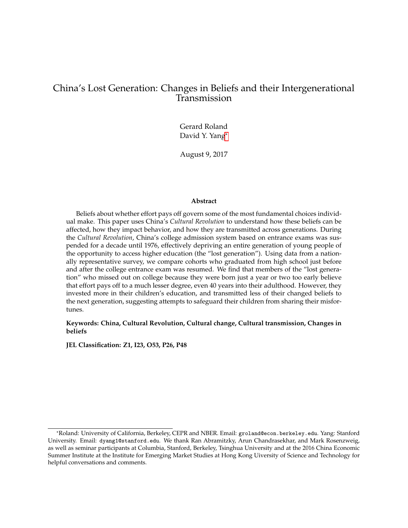# China's Lost Generation: Changes in Beliefs and their Intergenerational Transmission

Gerard Roland David Y. Yang[\\*](#page-0-0)

August 9, 2017

#### **Abstract**

Beliefs about whether effort pays off govern some of the most fundamental choices individual make. This paper uses China's *Cultural Revolution* to understand how these beliefs can be affected, how they impact behavior, and how they are transmitted across generations. During the *Cultural Revolution*, China's college admission system based on entrance exams was suspended for a decade until 1976, effectively depriving an entire generation of young people of the opportunity to access higher education (the "lost generation"). Using data from a nationally representative survey, we compare cohorts who graduated from high school just before and after the college entrance exam was resumed. We find that members of the "lost generation" who missed out on college because they were born just a year or two too early believe that effort pays off to a much lesser degree, even 40 years into their adulthood. However, they invested more in their children's education, and transmitted less of their changed beliefs to the next generation, suggesting attempts to safeguard their children from sharing their misfortunes.

#### **Keywords: China, Cultural Revolution, Cultural change, Cultural transmission, Changes in beliefs**

**JEL Classification: Z1, I23, O53, P26, P48**

<span id="page-0-0"></span><sup>\*</sup>Roland: University of California, Berkeley, CEPR and NBER. Email: groland@econ.berkeley.edu. Yang: Stanford University. Email: dyang1@stanford.edu. We thank Ran Abramitzky, Arun Chandrasekhar, and Mark Rosenzweig, as well as seminar participants at Columbia, Stanford, Berkeley, Tsinghua University and at the 2016 China Economic Summer Institute at the Institute for Emerging Market Studies at Hong Kong Uiversity of Science and Technology for helpful conversations and comments.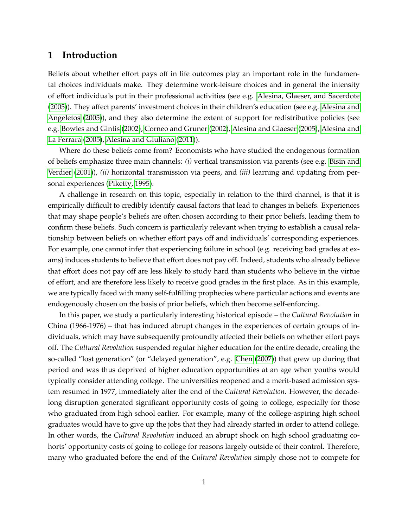### **1 Introduction**

Beliefs about whether effort pays off in life outcomes play an important role in the fundamental choices individuals make. They determine work-leisure choices and in general the intensity of effort individuals put in their professional activities (see e.g. [Alesina, Glaeser, and Sacerdote](#page-23-0) [\(2005\)](#page-23-0)). They affect parents' investment choices in their children's education (see e.g. [Alesina and](#page-23-1) [Angeletos](#page-23-1) [\(2005\)](#page-23-1)), and they also determine the extent of support for redistributive policies (see e.g. [Bowles and Gintis](#page-23-2) [\(2002\)](#page-23-2), [Corneo and Gruner](#page-23-3) [\(2002\)](#page-23-3), [Alesina and Glaeser](#page-23-4) [\(2005\)](#page-23-4), [Alesina and](#page-23-5) [La Ferrara](#page-23-5) [\(2005\)](#page-23-5), [Alesina and Giuliano](#page-23-6) [\(2011\)](#page-23-6)).

Where do these beliefs come from? Economists who have studied the endogenous formation of beliefs emphasize three main channels: *(i)* vertical transmission via parents (see e.g. [Bisin and](#page-23-7) [Verdier](#page-23-7) [\(2001\)](#page-23-7)), *(ii)* horizontal transmission via peers, and *(iii)* learning and updating from personal experiences [\(Piketty, 1995\)](#page-24-0).

A challenge in research on this topic, especially in relation to the third channel, is that it is empirically difficult to credibly identify causal factors that lead to changes in beliefs. Experiences that may shape people's beliefs are often chosen according to their prior beliefs, leading them to confirm these beliefs. Such concern is particularly relevant when trying to establish a causal relationship between beliefs on whether effort pays off and individuals' corresponding experiences. For example, one cannot infer that experiencing failure in school (e.g. receiving bad grades at exams) induces students to believe that effort does not pay off. Indeed, students who already believe that effort does not pay off are less likely to study hard than students who believe in the virtue of effort, and are therefore less likely to receive good grades in the first place. As in this example, we are typically faced with many self-fulfilling prophecies where particular actions and events are endogenously chosen on the basis of prior beliefs, which then become self-enforcing.

In this paper, we study a particularly interesting historical episode – the *Cultural Revolution* in China (1966-1976) – that has induced abrupt changes in the experiences of certain groups of individuals, which may have subsequently profoundly affected their beliefs on whether effort pays off. The *Cultural Revolution* suspended regular higher education for the entire decade, creating the so-called "lost generation" (or "delayed generation", e.g. [Chen](#page-23-8) [\(2007\)](#page-23-8)) that grew up during that period and was thus deprived of higher education opportunities at an age when youths would typically consider attending college. The universities reopened and a merit-based admission system resumed in 1977, immediately after the end of the *Cultural Revolution*. However, the decadelong disruption generated significant opportunity costs of going to college, especially for those who graduated from high school earlier. For example, many of the college-aspiring high school graduates would have to give up the jobs that they had already started in order to attend college. In other words, the *Cultural Revolution* induced an abrupt shock on high school graduating cohorts' opportunity costs of going to college for reasons largely outside of their control. Therefore, many who graduated before the end of the *Cultural Revolution* simply chose not to compete for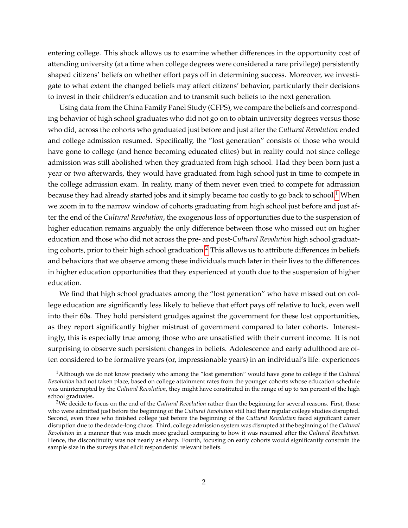entering college. This shock allows us to examine whether differences in the opportunity cost of attending university (at a time when college degrees were considered a rare privilege) persistently shaped citizens' beliefs on whether effort pays off in determining success. Moreover, we investigate to what extent the changed beliefs may affect citizens' behavior, particularly their decisions to invest in their children's education and to transmit such beliefs to the next generation.

Using data from the China Family Panel Study (CFPS), we compare the beliefs and corresponding behavior of high school graduates who did not go on to obtain university degrees versus those who did, across the cohorts who graduated just before and just after the *Cultural Revolution* ended and college admission resumed. Specifically, the "lost generation" consists of those who would have gone to college (and hence becoming educated elites) but in reality could not since college admission was still abolished when they graduated from high school. Had they been born just a year or two afterwards, they would have graduated from high school just in time to compete in the college admission exam. In reality, many of them never even tried to compete for admission because they had already started jobs and it simply became too costly to go back to school.<sup>[1](#page-2-0)</sup> When we zoom in to the narrow window of cohorts graduating from high school just before and just after the end of the *Cultural Revolution*, the exogenous loss of opportunities due to the suspension of higher education remains arguably the only difference between those who missed out on higher education and those who did not across the pre- and post-*Cultural Revolution* high school graduat-ing cohorts, prior to their high school graduation.<sup>[2](#page-2-1)</sup> This allows us to attribute differences in beliefs and behaviors that we observe among these individuals much later in their lives to the differences in higher education opportunities that they experienced at youth due to the suspension of higher education.

We find that high school graduates among the "lost generation" who have missed out on college education are significantly less likely to believe that effort pays off relative to luck, even well into their 60s. They hold persistent grudges against the government for these lost opportunities, as they report significantly higher mistrust of government compared to later cohorts. Interestingly, this is especially true among those who are unsatisfied with their current income. It is not surprising to observe such persistent changes in beliefs. Adolescence and early adulthood are often considered to be formative years (or, impressionable years) in an individual's life: experiences

<span id="page-2-0"></span><sup>1</sup>Although we do not know precisely who among the "lost generation" would have gone to college if the *Cultural Revolution* had not taken place, based on college attainment rates from the younger cohorts whose education schedule was uninterrupted by the *Cultural Revolution*, they might have constituted in the range of up to ten percent of the high school graduates.

<span id="page-2-1"></span><sup>2</sup>We decide to focus on the end of the *Cultural Revolution* rather than the beginning for several reasons. First, those who were admitted just before the beginning of the *Cultural Revolution* still had their regular college studies disrupted. Second, even those who finished college just before the beginning of the *Cultural Revolution* faced significant career disruption due to the decade-long chaos. Third, college admission system was disrupted at the beginning of the *Cultural Revolution* in a manner that was much more gradual comparing to how it was resumed after the *Cultural Revolution*. Hence, the discontinuity was not nearly as sharp. Fourth, focusing on early cohorts would significantly constrain the sample size in the surveys that elicit respondents' relevant beliefs.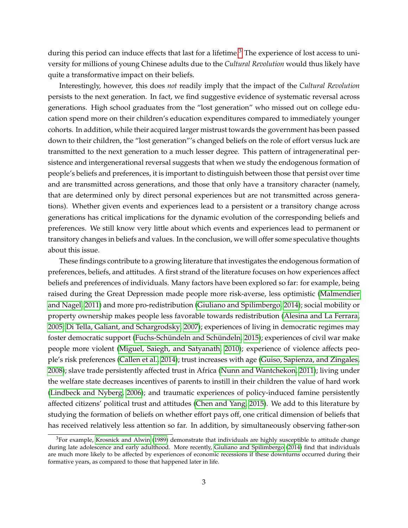during this period can induce effects that last for a lifetime.<sup>[3](#page-3-0)</sup> The experience of lost access to university for millions of young Chinese adults due to the *Cultural Revolution* would thus likely have quite a transformative impact on their beliefs.

Interestingly, however, this does *not* readily imply that the impact of the *Cultural Revolution* persists to the next generation. In fact, we find suggestive evidence of systematic reversal across generations. High school graduates from the "lost generation" who missed out on college education spend more on their children's education expenditures compared to immediately younger cohorts. In addition, while their acquired larger mistrust towards the government has been passed down to their children, the "lost generation"'s changed beliefs on the role of effort versus luck are transmitted to the next generation to a much lesser degree. This pattern of intrageneratinal persistence and intergenerational reversal suggests that when we study the endogenous formation of people's beliefs and preferences, it is important to distinguish between those that persist over time and are transmitted across generations, and those that only have a transitory character (namely, that are determined only by direct personal experiences but are not transmitted across generations). Whether given events and experiences lead to a persistent or a transitory change across generations has critical implications for the dynamic evolution of the corresponding beliefs and preferences. We still know very little about which events and experiences lead to permanent or transitory changes in beliefs and values. In the conclusion, we will offer some speculative thoughts about this issue.

These findings contribute to a growing literature that investigates the endogenous formation of preferences, beliefs, and attitudes. A first strand of the literature focuses on how experiences affect beliefs and preferences of individuals. Many factors have been explored so far: for example, being raised during the Great Depression made people more risk-averse, less optimistic [\(Malmendier](#page-24-1) [and Nagel, 2011\)](#page-24-1) and more pro-redistribution [\(Giuliano and Spilimbergo, 2014\)](#page-24-2); social mobility or property ownership makes people less favorable towards redistribution [\(Alesina and La Ferrara,](#page-23-5) [2005;](#page-23-5) [Di Tella, Galiant, and Schargrodsky, 2007\)](#page-23-9); experiences of living in democratic regimes may foster democratic support (Fuchs-Schündeln and Schündeln, [2015\)](#page-24-3); experiences of civil war make people more violent [\(Miguel, Saiegh, and Satyanath, 2010\)](#page-24-4); experience of violence affects people's risk preferences [\(Callen et al., 2014\)](#page-23-10); trust increases with age [\(Guiso, Sapienza, and Zingales,](#page-24-5) [2008\)](#page-24-5); slave trade persistently affected trust in Africa [\(Nunn and Wantchekon, 2011\)](#page-24-6); living under the welfare state decreases incentives of parents to instill in their children the value of hard work [\(Lindbeck and Nyberg, 2006\)](#page-24-7); and traumatic experiences of policy-induced famine persistently affected citizens' political trust and attitudes [\(Chen and Yang, 2015\)](#page-23-11). We add to this literature by studying the formation of beliefs on whether effort pays off, one critical dimension of beliefs that has received relatively less attention so far. In addition, by simultaneously observing father-son

<span id="page-3-0"></span> $3$ For example, [Krosnick and Alwin](#page-24-8) [\(1989\)](#page-24-8) demonstrate that individuals are highly susceptible to attitude change during late adolescence and early adulthood. More recently, [Giuliano and Spilimbergo](#page-24-2) [\(2014\)](#page-24-2) find that individuals are much more likely to be affected by experiences of economic recessions if these downturns occurred during their formative years, as compared to those that happened later in life.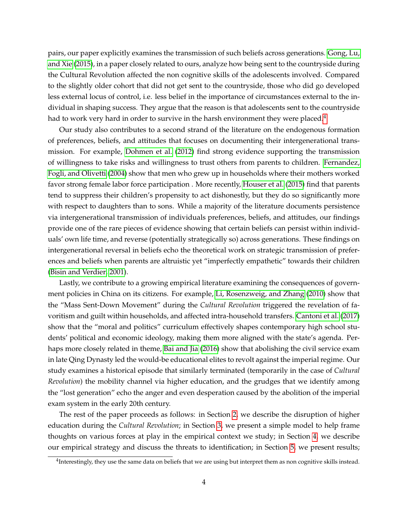pairs, our paper explicitly examines the transmission of such beliefs across generations. [Gong, Lu,](#page-24-9) [and Xie](#page-24-9) [\(2015\)](#page-24-9), in a paper closely related to ours, analyze how being sent to the countryside during the Cultural Revolution affected the non cognitive skills of the adolescents involved. Compared to the slightly older cohort that did not get sent to the countryside, those who did go developed less external locus of control, i.e. less belief in the importance of circumstances external to the individual in shaping success. They argue that the reason is that adolescents sent to the countryside had to work very hard in order to survive in the harsh environment they were placed. $4$ 

Our study also contributes to a second strand of the literature on the endogenous formation of preferences, beliefs, and attitudes that focuses on documenting their intergenerational transmission. For example, [Dohmen et al.](#page-24-10) [\(2012\)](#page-24-10) find strong evidence supporting the transmission of willingness to take risks and willingness to trust others from parents to children. [Fernandez,](#page-24-11) [Fogli, and Olivetti](#page-24-11) [\(2004\)](#page-24-11) show that men who grew up in households where their mothers worked favor strong female labor force participation . More recently, [Houser et al.](#page-24-12) [\(2015\)](#page-24-12) find that parents tend to suppress their children's propensity to act dishonestly, but they do so significantly more with respect to daughters than to sons. While a majority of the literature documents persistence via intergenerational transmission of individuals preferences, beliefs, and attitudes, our findings provide one of the rare pieces of evidence showing that certain beliefs can persist within individuals' own life time, and reverse (potentially strategically so) across generations. These findings on intergenerational reversal in beliefs echo the theoretical work on strategic transmission of preferences and beliefs when parents are altruistic yet "imperfectly empathetic" towards their children [\(Bisin and Verdier, 2001\)](#page-23-7).

Lastly, we contribute to a growing empirical literature examining the consequences of government policies in China on its citizens. For example, [Li, Rosenzweig, and Zhang](#page-24-13) [\(2010\)](#page-24-13) show that the "Mass Sent-Down Movement" during the *Cultural Revolution* triggered the revelation of favoritism and guilt within households, and affected intra-household transfers. [Cantoni et al.](#page-23-12) [\(2017\)](#page-23-12) show that the "moral and politics" curriculum effectively shapes contemporary high school students' political and economic ideology, making them more aligned with the state's agenda. Per-haps more closely related in theme, [Bai and Jia](#page-23-13) [\(2016\)](#page-23-13) show that abolishing the civil service exam in late Qing Dynasty led the would-be educational elites to revolt against the imperial regime. Our study examines a historical episode that similarly terminated (temporarily in the case of *Cultural Revolution*) the mobility channel via higher education, and the grudges that we identify among the "lost generation" echo the anger and even desperation caused by the abolition of the imperial exam system in the early 20th century.

The rest of the paper proceeds as follows: in Section [2,](#page-5-0) we describe the disruption of higher education during the *Cultural Revolution*; in Section [3,](#page-7-0) we present a simple model to help frame thoughts on various forces at play in the empirical context we study; in Section [4,](#page-11-0) we describe our empirical strategy and discuss the threats to identification; in Section [5,](#page-16-0) we present results;

<span id="page-4-0"></span> $^4$ Interestingly, they use the same data on beliefs that we are using but interpret them as non cognitive skills instead.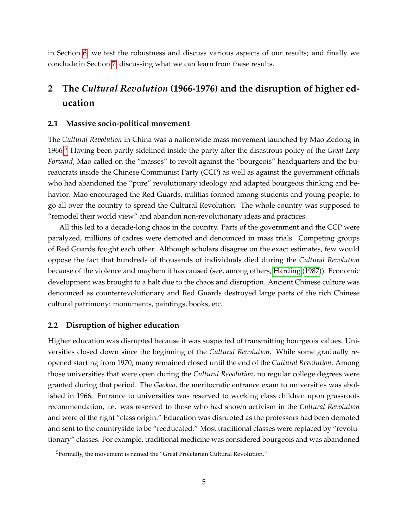in Section [6,](#page-19-0) we test the robustness and discuss various aspects of our results; and finally we conclude in Section [7,](#page-21-0) discussing what we can learn from these results.

# <span id="page-5-0"></span>**2 The** *Cultural Revolution* **(1966-1976) and the disruption of higher education**

#### **2.1 Massive socio-political movement**

The *Cultural Revolution* in China was a nationwide mass movement launched by Mao Zedong in 1966.[5](#page-5-1) Having been partly sidelined inside the party after the disastrous policy of the *Great Leap Forward*, Mao called on the "masses" to revolt against the "bourgeois" headquarters and the bureaucrats inside the Chinese Communist Party (CCP) as well as against the government officials who had abandoned the "pure" revolutionary ideology and adapted bourgeois thinking and behavior. Mao encouraged the Red Guards, militias formed among students and young people, to go all over the country to spread the Cultural Revolution. The whole country was supposed to "remodel their world view" and abandon non-revolutionary ideas and practices.

All this led to a decade-long chaos in the country. Parts of the government and the CCP were paralyzed, millions of cadres were demoted and denounced in mass trials. Competing groups of Red Guards fought each other. Although scholars disagree on the exact estimates, few would oppose the fact that hundreds of thousands of individuals died during the *Cultural Revolution* because of the violence and mayhem it has caused (see, among others, [Harding](#page-24-14) [\(1987\)](#page-24-14)). Economic development was brought to a halt due to the chaos and disruption. Ancient Chinese culture was denounced as counterrevolutionary and Red Guards destroyed large parts of the rich Chinese cultural patrimony: monuments, paintings, books, etc.

#### **2.2 Disruption of higher education**

Higher education was disrupted because it was suspected of transmitting bourgeois values. Universities closed down since the beginning of the *Cultural Revolution*. While some gradually reopened starting from 1970, many remained closed until the end of the *Cultural Revolution*. Among those universities that were open during the *Cultural Revolution*, no regular college degrees were granted during that period. The *Gaokao*, the meritocratic entrance exam to universities was abolished in 1966. Entrance to universities was reserved to working class children upon grassroots recommendation, i.e. was reserved to those who had shown activism in the *Cultural Revolution* and were of the right "class origin." Education was disrupted as the professors had been demoted and sent to the countryside to be "reeducated." Most traditional classes were replaced by "revolutionary" classes. For example, traditional medicine was considered bourgeois and was abandoned

<span id="page-5-1"></span><sup>5</sup>Formally, the movement is named the "Great Proletarian Cultural Revolution."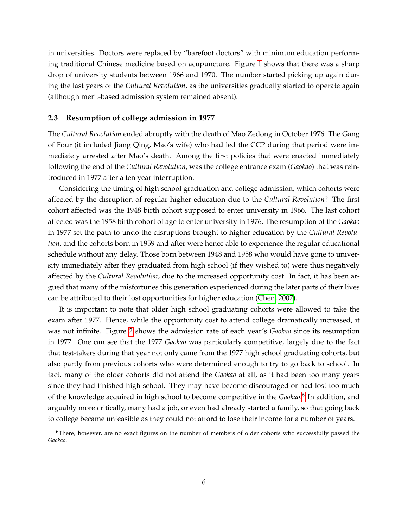in universities. Doctors were replaced by "barefoot doctors" with minimum education performing traditional Chinese medicine based on acupuncture. Figure [1](#page-26-0) shows that there was a sharp drop of university students between 1966 and 1970. The number started picking up again during the last years of the *Cultural Revolution*, as the universities gradually started to operate again (although merit-based admission system remained absent).

#### **2.3 Resumption of college admission in 1977**

The *Cultural Revolution* ended abruptly with the death of Mao Zedong in October 1976. The Gang of Four (it included Jiang Qing, Mao's wife) who had led the CCP during that period were immediately arrested after Mao's death. Among the first policies that were enacted immediately following the end of the *Cultural Revolution*, was the college entrance exam (*Gaokao*) that was reintroduced in 1977 after a ten year interruption.

Considering the timing of high school graduation and college admission, which cohorts were affected by the disruption of regular higher education due to the *Cultural Revolution*? The first cohort affected was the 1948 birth cohort supposed to enter university in 1966. The last cohort affected was the 1958 birth cohort of age to enter university in 1976. The resumption of the *Gaokao* in 1977 set the path to undo the disruptions brought to higher education by the *Cultural Revolution*, and the cohorts born in 1959 and after were hence able to experience the regular educational schedule without any delay. Those born between 1948 and 1958 who would have gone to university immediately after they graduated from high school (if they wished to) were thus negatively affected by the *Cultural Revolution*, due to the increased opportunity cost. In fact, it has been argued that many of the misfortunes this generation experienced during the later parts of their lives can be attributed to their lost opportunities for higher education [\(Chen, 2007\)](#page-23-8).

It is important to note that older high school graduating cohorts were allowed to take the exam after 1977. Hence, while the opportunity cost to attend college dramatically increased, it was not infinite. Figure [2](#page-27-0) shows the admission rate of each year's *Gaokao* since its resumption in 1977. One can see that the 1977 *Gaokao* was particularly competitive, largely due to the fact that test-takers during that year not only came from the 1977 high school graduating cohorts, but also partly from previous cohorts who were determined enough to try to go back to school. In fact, many of the older cohorts did not attend the *Gaokao* at all, as it had been too many years since they had finished high school. They may have become discouraged or had lost too much of the knowledge acquired in high school to become competitive in the *Gaokao*. [6](#page-6-0) In addition, and arguably more critically, many had a job, or even had already started a family, so that going back to college became unfeasible as they could not afford to lose their income for a number of years.

<span id="page-6-0"></span><sup>&</sup>lt;sup>6</sup>There, however, are no exact figures on the number of members of older cohorts who successfully passed the *Gaokao*.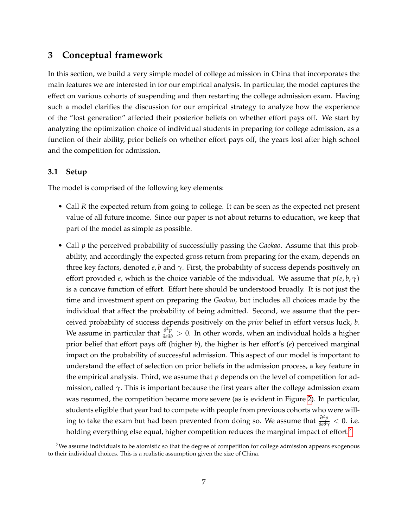## <span id="page-7-0"></span>**3 Conceptual framework**

In this section, we build a very simple model of college admission in China that incorporates the main features we are interested in for our empirical analysis. In particular, the model captures the effect on various cohorts of suspending and then restarting the college admission exam. Having such a model clarifies the discussion for our empirical strategy to analyze how the experience of the "lost generation" affected their posterior beliefs on whether effort pays off. We start by analyzing the optimization choice of individual students in preparing for college admission, as a function of their ability, prior beliefs on whether effort pays off, the years lost after high school and the competition for admission.

#### **3.1 Setup**

The model is comprised of the following key elements:

- Call *R* the expected return from going to college. It can be seen as the expected net present value of all future income. Since our paper is not about returns to education, we keep that part of the model as simple as possible.
- Call *p* the perceived probability of successfully passing the *Gaokao*. Assume that this probability, and accordingly the expected gross return from preparing for the exam, depends on three key factors, denoted  $e$ ,  $b$  and  $\gamma$ . First, the probability of success depends positively on effort provided *e*, which is the choice variable of the individual. We assume that  $p(e, b, \gamma)$ is a concave function of effort. Effort here should be understood broadly. It is not just the time and investment spent on preparing the *Gaokao*, but includes all choices made by the individual that affect the probability of being admitted. Second, we assume that the perceived probability of success depends positively on the *prior* belief in effort versus luck, *b*. *We* assume in particular that  $\frac{\partial^2 p}{\partial \epsilon \partial b}$  > 0. In other words, when an individual holds a higher prior belief that effort pays off (higher *b*), the higher is her effort's (*e*) perceived marginal impact on the probability of successful admission. This aspect of our model is important to understand the effect of selection on prior beliefs in the admission process, a key feature in the empirical analysis. Third, we assume that *p* depends on the level of competition for admission, called *γ*. This is important because the first years after the college admission exam was resumed, the competition became more severe (as is evident in Figure [2\)](#page-27-0). In particular, students eligible that year had to compete with people from previous cohorts who were willing to take the exam but had been prevented from doing so. We assume that  $\frac{\partial^2 p}{\partial e \partial \gamma} < 0$ . i.e. holding everything else equal, higher competition reduces the marginal impact of effort.<sup>[7](#page-7-1)</sup>

<span id="page-7-1"></span><sup>&</sup>lt;sup>7</sup>We assume individuals to be atomistic so that the degree of competition for college admission appears exogenous to their individual choices. This is a realistic assumption given the size of China.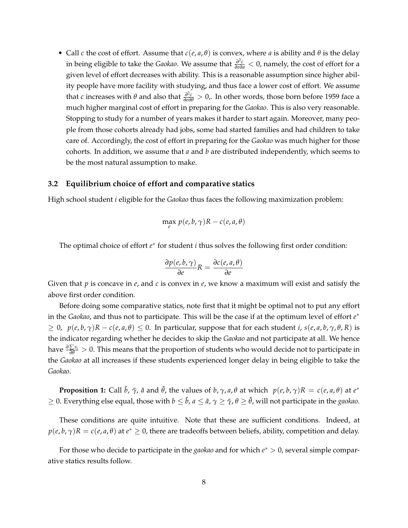• Call *c* the cost of effort. Assume that  $c(e, a, \theta)$  is convex, where *a* is ability and  $\theta$  is the delay in being eligible to take the *Gaokao*. We assume that *<sup>∂</sup>* 2 *c <sup>∂</sup>e∂<sup>a</sup>* < 0, namely, the cost of effort for a given level of effort decreases with ability. This is a reasonable assumption since higher ability people have more facility with studying, and thus face a lower cost of effort. We assume that *c* increases with  $\theta$  and also that  $\frac{\partial^2 c}{\partial e \partial \theta} > 0$ . In other words, those born before 1959 face a much higher marginal cost of effort in preparing for the *Gaokao*. This is also very reasonable. Stopping to study for a number of years makes it harder to start again. Moreover, many people from those cohorts already had jobs, some had started families and had children to take care of. Accordingly, the cost of effort in preparing for the *Gaokao* was much higher for those cohorts. In addition, we assume that *a* and *b* are distributed independently, which seems to be the most natural assumption to make.

#### **3.2 Equilibrium choice of effort and comparative statics**

High school student *i* eligible for the *Gaokao* thus faces the following maximization problem:

$$
\max_{e} p(e, b, \gamma)R - c(e, a, \theta)
$$

The optimal choice of effort  $e^*$  for student *i* thus solves the following first order condition:

$$
\frac{\partial p(e,b,\gamma)}{\partial e}R = \frac{\partial c(e,a,\theta)}{\partial e}
$$

Given that *p* is concave in *e*, and *c* is convex in *e*, we know a maximum will exist and satisfy the above first order condition.

Before doing some comparative statics, note first that it might be optimal not to put any effort in the *Gaokao*, and thus not to participate. This will be the case if at the optimum level of effort *e* ∗  $\geq 0$ ,  $p(e, b, \gamma)R - c(e, a, \theta) \leq 0$ . In particular, suppose that for each student *i*,  $s(e, a, b, \gamma, \theta, R)$  is the indicator regarding whether he decides to skip the *Gaokao* and not participate at all. We hence have *<sup>∂</sup>* <sup>∑</sup> *<sup>s</sup><sup>i</sup> ∂θ* > 0. This means that the proportion of students who would decide not to participate in the *Gaokao* at all increases if these students experienced longer delay in being eligible to take the *Gaokao*.

**Proposition 1:** Call  $\tilde{b}$ ,  $\tilde{\gamma}$ ,  $\tilde{a}$  and  $\tilde{\theta}$ , the values of  $b$ ,  $\gamma$ ,  $a$ ,  $\theta$  at which  $p(e, b, \gamma)R = c(e, a, \theta)$  at  $e^*$  $\geq 0$ . Everything else equal, those with  $b \leq \tilde{b}$ ,  $a \leq \tilde{a}$ ,  $\gamma \geq \tilde{\gamma}$ ,  $\theta \geq \tilde{\theta}$ , will not participate in the *gaokao*.

These conditions are quite intuitive. Note that these are sufficient conditions. Indeed, at  $p(e, b, \gamma)R = c(e, a, \theta)$  at  $e^* \geq 0$ , there are tradeoffs between beliefs, ability, competition and delay.

For those who decide to participate in the *gaokao* and for which  $e^* > 0$ , several simple comparative statics results follow.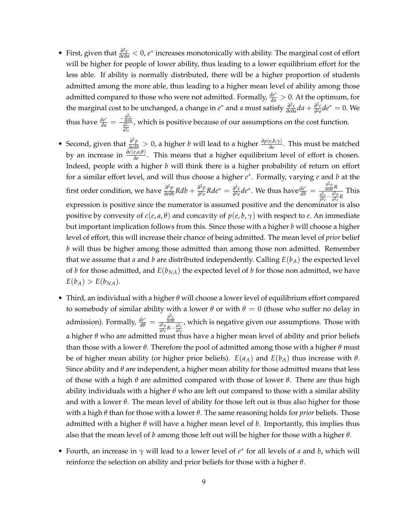- First, given that *<sup>∂</sup>* 2 *c <sup>∂</sup>e∂<sup>a</sup>* < 0, *e* ∗ increases monotonically with ability. The marginal cost of effort will be higher for people of lower ability, thus leading to a lower equilibrium effort for the less able. If ability is normally distributed, there will be a higher proportion of students admitted among the more able, thus leading to a higher mean level of ability among those admitted compared to those who were not admitted. Formally,  $\frac{de^*}{da} > 0$ . At the optimum, for the marginal cost to be unchanged, a change in *e*<sup>∗</sup> and *a* must satisfy  $\frac{\partial^2 c}{\partial t \partial t}$ *∂e∂a da* + *<sup>∂</sup>* 2 *c ∂* 2*e de*<sup>∗</sup> = 0. We thus have  $\frac{de^*}{da} = \frac{-\frac{\partial^2 c}{\partial e \partial a}}{\frac{\partial^2 c}{\partial^2 e}}$ *∂* , which is positive because of our assumptions on the cost function.
- Second, given that  $\frac{\partial^2 p}{\partial \phi \partial b}$  > 0, a higher *b* will lead to a higher  $\frac{\partial p(e,b,\gamma)}{\partial e}$ . This must be matched by an increase in  $\frac{\partial c(e, a, \theta)}{\partial e}$ . This means that a higher equilibrium level of effort is chosen. Indeed, people with a higher *b* will think there is a higher probability of return on effort for a similar effort level, and will thus choose a higher *e* ∗ . Formally, varying *e* and *b* at the first order condition, we have  $\frac{\partial^2 p}{\partial e \partial l}$ *∂*<sup>2</sup>*p*</sup><sub>*∂*<sup>2</sup>*p*</sub> *Rdb* + <sup>*∂*2</sup>*p*<sup>2</sup>  $\frac{\partial^2 p}{\partial^2 e} Rde^* = \frac{\partial^2 c}{\partial^2 e}$  $\frac{\partial^2 c}{\partial^2 e}de^*$ . We thus have $\frac{de^*}{db} = \frac{\frac{\partial^2 p}{\partial e \partial b}R}{\frac{\partial^2 c}{\partial^2 e} - \frac{\partial^2 l}{\partial^2 e}}$ *∂*<sup>2</sup>*c*</sub> *−*  $\frac{\partial^2 p}{\partial^2 e}$ expression is positive since the numerator is assumed positive and the denominator is also  $\frac{2p}{2e}R$  This positive by convexity of  $c(e, a, \theta)$  and concavity of  $p(e, b, \gamma)$  with respect to *e*. An immediate but important implication follows from this. Since those with a higher *b* will choose a higher level of effort, this will increase their chance of being admitted. The mean level of *prior* belief *b* will thus be higher among those admitted than among those non admitted. Remember that we assume that *a* and *b* are distributed independently. Calling  $E(b_A)$  the expected level of *b* for those admitted, and  $E(b_{NA})$  the expected level of *b* for those non admitted, we have  $E(b_A) > E(b_{NA}).$
- Third, an individual with a higher *θ* will choose a lower level of equilibrium effort compared to somebody of similar ability with a lower  $\theta$  or with  $\theta = 0$  (those who suffer no delay in admission). Formally,  $\frac{de^*}{d\theta} = \frac{\frac{\partial^2 c}{\partial e \partial \theta}}{\frac{\partial^2 p}{\partial R}}$ *∂ ∂* a higher *θ* who are admitted must thus have a higher mean level of ability and prior beliefs  $\frac{2p}{2e}R-\frac{\partial^2 c}{\partial^2 e}$ , which is negative given our assumptions. Those with than those with a lower *θ*. Therefore the pool of admitted among those with a higher *θ* must be of higher mean ability (or higher prior beliefs).  $E(a_A)$  and  $E(b_A)$  thus increase with  $\theta$ . Since ability and *θ* are independent, a higher mean ability for those admitted means that less of those with a high *θ* are admitted compared with those of lower *θ*. There are thus high ability individuals with a higher *θ* who are left out compared to those with a similar ability and with a lower  $\theta$ . The mean level of ability for those left out is thus also higher for those with a high *θ* than for those with a lower *θ*. The same reasoning holds for *prior* beliefs. Those admitted with a higher *θ* will have a higher mean level of *b*. Importantly, this implies thus also that the mean level of *b* among those left out will be higher for those with a higher *θ*.
- Fourth, an increase in *γ* will lead to a lower level of *e* ∗ for all levels of *a* and *b*, which will reinforce the selection on ability and prior beliefs for those with a higher *θ*.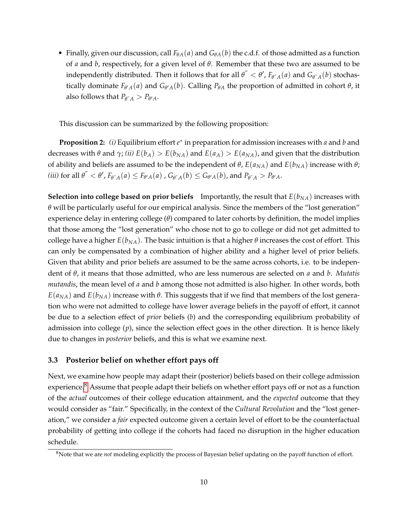• Finally, given our discussion, call  $F_{\theta A}(a)$  and  $G_{\theta A}(b)$  the c.d.f. of those admitted as a function of *a* and *b*, respectively, for a given level of *θ*. Remember that these two are assumed to be independently distributed. Then it follows that for all  $\theta'' < \theta'$ ,  $F_{\theta''A}(a)$  and  $G_{\theta''A}(b)$  stochastically dominate  $F_{\theta' A}(a)$  and  $G_{\theta' A}(b)$ . Calling  $P_{\theta A}$  the proportion of admitted in cohort  $\theta$ , it also follows that  $P_{\theta''A} > P_{\theta'A}$ .

This discussion can be summarized by the following proposition:

**Proposition 2:** (*i*) Equilibrium effort  $e^*$  in preparation for admission increases with *a* and *b* and decreases with *θ* and *γ*; *(ii)*  $E(b_A) > E(b_{NA})$  and  $E(a_A) > E(a_{NA})$ , and given that the distribution of ability and beliefs are assumed to be the independent of *θ*,  $E(a<sub>NA</sub>)$  and  $E(b<sub>NA</sub>)$  increase with *θ*; (iii) for all  $\theta'' < \theta'$ ,  $F_{\theta''A}(a) \leq F_{\theta'A}(a)$  ,  $G_{\theta''A}(b) \leq G_{\theta'A}(b)$ , and  $P_{\theta''A} > P_{\theta'A}$ .

**Selection into college based on prior beliefs** Importantly, the result that  $E(b_{NA})$  increases with *θ* will be particularly useful for our empirical analysis. Since the members of the "lost generation" experience delay in entering college (*θ*) compared to later cohorts by definition, the model implies that those among the "lost generation" who chose not to go to college or did not get admitted to college have a higher  $E(b_{NA})$ . The basic intuition is that a higher  $\theta$  increases the cost of effort. This can only be compensated by a combination of higher ability and a higher level of prior beliefs. Given that ability and prior beliefs are assumed to be the same across cohorts, i.e. to be independent of *θ*, it means that those admitted, who are less numerous are selected on *a* and *b*. *Mutatis mutandis*, the mean level of *a* and *b* among those not admitted is also higher. In other words, both  $E(a_{NA})$  and  $E(b_{NA})$  increase with  $\theta$ . This suggests that if we find that members of the lost generation who were not admitted to college have lower average beliefs in the payoff of effort, it cannot be due to a selection effect of *prior* beliefs (*b*) and the corresponding equilibrium probability of admission into college  $(p)$ , since the selection effect goes in the other direction. It is hence likely due to changes in *posterior* beliefs, and this is what we examine next.

#### **3.3 Posterior belief on whether effort pays off**

Next, we examine how people may adapt their (posterior) beliefs based on their college admission experience.<sup>[8](#page-10-0)</sup> Assume that people adapt their beliefs on whether effort pays off or not as a function of the *actual* outcomes of their college education attainment, and the *expected* outcome that they would consider as "fair." Specifically, in the context of the *Cultural Revolution* and the "lost generation," we consider a *fair* expected outcome given a certain level of effort to be the counterfactual probability of getting into college if the cohorts had faced no disruption in the higher education schedule.

<span id="page-10-0"></span><sup>8</sup>Note that we are *not* modeling explicitly the process of Bayesian belief updating on the payoff function of effort.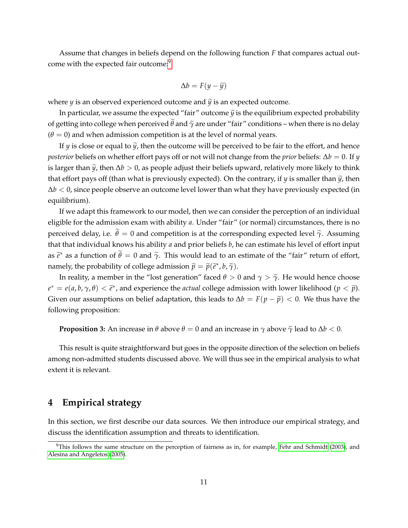Assume that changes in beliefs depend on the following function *F* that compares actual out-come with the expected fair outcome:<sup>[9](#page-11-1)</sup>

$$
\Delta b = F(y - \widetilde{y})
$$

where *y* is an observed experienced outcome and  $\tilde{y}$  is an expected outcome.

In particular, we assume the expected "fair" outcome  $\tilde{y}$  is the equilibrium expected probability of getting into college when perceived *θ* and  $\tilde{\gamma}$  are under "fair" conditions – when there is no delay  $(\theta = 0)$  and when admission competition is at the level of normal years.

If *y* is close or equal to  $\tilde{y}$ , then the outcome will be perceived to be fair to the effort, and hence *posterior* beliefs on whether effort pays off or not will not change from the *prior* beliefs: ∆*b* = 0. If *y* is larger than  $\tilde{y}$ , then  $\Delta b > 0$ , as people adjust their beliefs upward, relatively more likely to think that effort pays off (than what is previously expected). On the contrary, if  $y$  is smaller than  $\tilde{y}$ , then ∆*b* < 0, since people observe an outcome level lower than what they have previously expected (in equilibrium).

If we adapt this framework to our model, then we can consider the perception of an individual eligible for the admission exam with ability *a*. Under "fair" (or normal) circumstances, there is no perceived delay, i.e.  $\theta = 0$  and competition is at the corresponding expected level  $\tilde{\gamma}$ . Assuming that that individual knows his ability *a* and prior beliefs *b*, he can estimate his level of effort input as  $\tilde{e}^*$  as a function of  $\tilde{\theta} = 0$  and  $\tilde{\gamma}$ . This would lead to an estimate of the "fair" return of effort, namely, the probability of college admission  $\widetilde{p} = \widetilde{p}(\widetilde{e}^*, b, \widetilde{\gamma})$ .

In reality, a member in the "lost generation" faced  $\theta > 0$  and  $\gamma > \tilde{\gamma}$ . He would hence choose  $e^* = e(a, b, \gamma, \theta) < \tilde{e}^*$ , and experience the *actual* college admission with lower likelihood ( $p < \tilde{p}$ ). Given our assumptions on belief adaptation, this leads to  $\Delta b = F(p - \tilde{p}) < 0$ . We thus have the following proposition:

**Proposition 3:** An increase in  $\theta$  above  $\theta = 0$  and an increase in  $\gamma$  above  $\tilde{\gamma}$  lead to  $\Delta b < 0$ .

This result is quite straightforward but goes in the opposite direction of the selection on beliefs among non-admitted students discussed above. We will thus see in the empirical analysis to what extent it is relevant.

### <span id="page-11-0"></span>**4 Empirical strategy**

In this section, we first describe our data sources. We then introduce our empirical strategy, and discuss the identification assumption and threats to identification.

<span id="page-11-1"></span> $9$ This follows the same structure on the perception of fairness as in, for example, [Fehr and Schmidt](#page-24-15) [\(2003\)](#page-24-15), and [Alesina and Angeletos](#page-23-1) [\(2005\)](#page-23-1).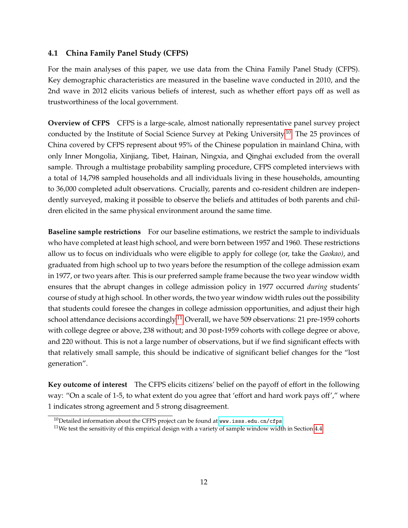### **4.1 China Family Panel Study (CFPS)**

For the main analyses of this paper, we use data from the China Family Panel Study (CFPS). Key demographic characteristics are measured in the baseline wave conducted in 2010, and the 2nd wave in 2012 elicits various beliefs of interest, such as whether effort pays off as well as trustworthiness of the local government.

**Overview of CFPS** CFPS is a large-scale, almost nationally representative panel survey project conducted by the Institute of Social Science Survey at Peking University.<sup>[10](#page-12-0)</sup> The 25 provinces of China covered by CFPS represent about 95% of the Chinese population in mainland China, with only Inner Mongolia, Xinjiang, Tibet, Hainan, Ningxia, and Qinghai excluded from the overall sample. Through a multistage probability sampling procedure, CFPS completed interviews with a total of 14,798 sampled households and all individuals living in these households, amounting to 36,000 completed adult observations. Crucially, parents and co-resident children are independently surveyed, making it possible to observe the beliefs and attitudes of both parents and children elicited in the same physical environment around the same time.

**Baseline sample restrictions** For our baseline estimations, we restrict the sample to individuals who have completed at least high school, and were born between 1957 and 1960. These restrictions allow us to focus on individuals who were eligible to apply for college (or, take the *Gaokao)*, and graduated from high school up to two years before the resumption of the college admission exam in 1977, or two years after. This is our preferred sample frame because the two year window width ensures that the abrupt changes in college admission policy in 1977 occurred *during* students' course of study at high school. In other words, the two year window width rules out the possibility that students could foresee the changes in college admission opportunities, and adjust their high school attendance decisions accordingly.<sup>[11](#page-12-1)</sup> Overall, we have 509 observations: 21 pre-1959 cohorts with college degree or above, 238 without; and 30 post-1959 cohorts with college degree or above, and 220 without. This is not a large number of observations, but if we find significant effects with that relatively small sample, this should be indicative of significant belief changes for the "lost generation".

**Key outcome of interest** The CFPS elicits citizens' belief on the payoff of effort in the following way: "On a scale of 1-5, to what extent do you agree that 'effort and hard work pays off'," where 1 indicates strong agreement and 5 strong disagreement.

<span id="page-12-0"></span><sup>&</sup>lt;sup>10</sup>Detailed information about the CFPS project can be found at <www.isss.edu.cn/cfps>.

<span id="page-12-1"></span> $11$  We test the sensitivity of this empirical design with a variety of sample window width in Section [4.4.](#page-15-0)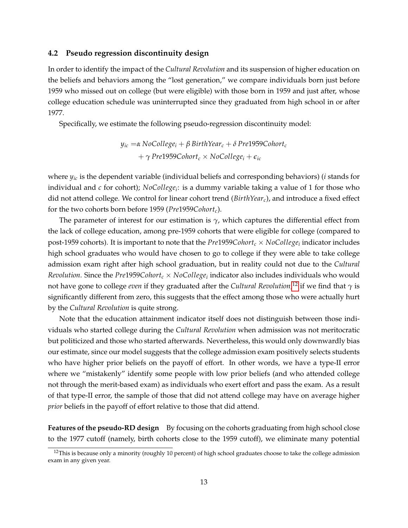#### **4.2 Pseudo regression discontinuity design**

In order to identify the impact of the *Cultural Revolution* and its suspension of higher education on the beliefs and behaviors among the "lost generation," we compare individuals born just before 1959 who missed out on college (but were eligible) with those born in 1959 and just after, whose college education schedule was uninterrupted since they graduated from high school in or after 1977.

Specifically, we estimate the following pseudo-regression discontinuity model:

 $y_{ic} = \alpha$   $NoCollect<sub>i</sub> + \beta$   $BirthYear<sub>c</sub> + \delta$   $Pre1959Cohort<sub>c</sub>$  $+ \gamma$  *Pre*1959*Cohort<sub>c</sub>* × *NoCollege<sub>i</sub>* +  $\epsilon_{ic}$ 

where  $y_i$ <sup>*c*</sup> is the dependent variable (individual beliefs and corresponding behaviors) (*i* stands for individual and *c* for cohort); *NoCollege<sup>i</sup>* : is a dummy variable taking a value of 1 for those who did not attend college. We control for linear cohort trend (*BirthYearc*), and introduce a fixed effect for the two cohorts born before 1959 (*Pre*1959*Cohortc*).

The parameter of interest for our estimation is  $\gamma$ , which captures the differential effect from the lack of college education, among pre-1959 cohorts that were eligible for college (compared to post-1959 cohorts). It is important to note that the *Pre*1959*Cohort<sup>c</sup>* × *NoCollege<sup>i</sup>* indicator includes high school graduates who would have chosen to go to college if they were able to take college admission exam right after high school graduation, but in reality could not due to the *Cultural Revolution*. Since the *Pre*1959*Cohort<sup>c</sup>* × *NoCollege<sup>i</sup>* indicator also includes individuals who would not have gone to college *even* if they graduated after the *Cultural Revolution*, [12](#page-13-0) if we find that *γ* is significantly different from zero, this suggests that the effect among those who were actually hurt by the *Cultural Revolution* is quite strong.

Note that the education attainment indicator itself does not distinguish between those individuals who started college during the *Cultural Revolution* when admission was not meritocratic but politicized and those who started afterwards. Nevertheless, this would only downwardly bias our estimate, since our model suggests that the college admission exam positively selects students who have higher prior beliefs on the payoff of effort. In other words, we have a type-II error where we "mistakenly" identify some people with low prior beliefs (and who attended college not through the merit-based exam) as individuals who exert effort and pass the exam. As a result of that type-II error, the sample of those that did not attend college may have on average higher *prior* beliefs in the payoff of effort relative to those that did attend.

**Features of the pseudo-RD design** By focusing on the cohorts graduating from high school close to the 1977 cutoff (namely, birth cohorts close to the 1959 cutoff), we eliminate many potential

<span id="page-13-0"></span><sup>&</sup>lt;sup>12</sup>This is because only a minority (roughly 10 percent) of high school graduates choose to take the college admission exam in any given year.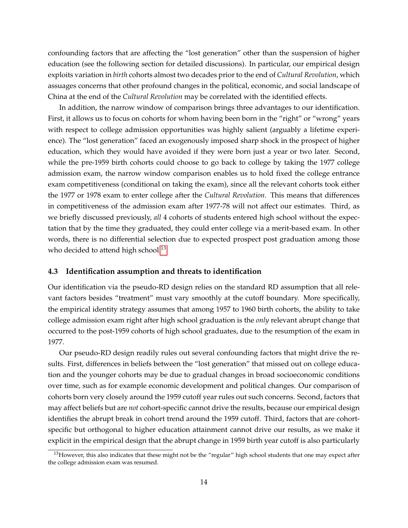confounding factors that are affecting the "lost generation" other than the suspension of higher education (see the following section for detailed discussions). In particular, our empirical design exploits variation in *birth* cohorts almost two decades prior to the end of *Cultural Revolution*, which assuages concerns that other profound changes in the political, economic, and social landscape of China at the end of the *Cultural Revolution* may be correlated with the identified effects.

In addition, the narrow window of comparison brings three advantages to our identification. First, it allows us to focus on cohorts for whom having been born in the "right" or "wrong" years with respect to college admission opportunities was highly salient (arguably a lifetime experience). The "lost generation" faced an exogenously imposed sharp shock in the prospect of higher education, which they would have avoided if they were born just a year or two later. Second, while the pre-1959 birth cohorts could choose to go back to college by taking the 1977 college admission exam, the narrow window comparison enables us to hold fixed the college entrance exam competitiveness (conditional on taking the exam), since all the relevant cohorts took either the 1977 or 1978 exam to enter college after the *Cultural Revolution*. This means that differences in competitiveness of the admission exam after 1977-78 will not affect our estimates. Third, as we briefly discussed previously, *all* 4 cohorts of students entered high school without the expectation that by the time they graduated, they could enter college via a merit-based exam. In other words, there is no differential selection due to expected prospect post graduation among those who decided to attend high school.<sup>[13](#page-14-0)</sup>

#### **4.3 Identification assumption and threats to identification**

Our identification via the pseudo-RD design relies on the standard RD assumption that all relevant factors besides "treatment" must vary smoothly at the cutoff boundary. More specifically, the empirical identity strategy assumes that among 1957 to 1960 birth cohorts, the ability to take college admission exam right after high school graduation is the *only* relevant abrupt change that occurred to the post-1959 cohorts of high school graduates, due to the resumption of the exam in 1977.

Our pseudo-RD design readily rules out several confounding factors that might drive the results. First, differences in beliefs between the "lost generation" that missed out on college education and the younger cohorts may be due to gradual changes in broad socioeconomic conditions over time, such as for example economic development and political changes. Our comparison of cohorts born very closely around the 1959 cutoff year rules out such concerns. Second, factors that may affect beliefs but are *not* cohort-specific cannot drive the results, because our empirical design identifies the abrupt break in cohort trend around the 1959 cutoff. Third, factors that are cohortspecific but orthogonal to higher education attainment cannot drive our results, as we make it explicit in the empirical design that the abrupt change in 1959 birth year cutoff is also particularly

<span id="page-14-0"></span> $13$ However, this also indicates that these might not be the "regular" high school students that one may expect after the college admission exam was resumed.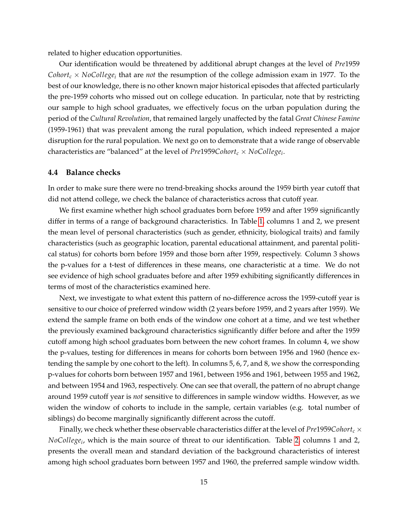related to higher education opportunities.

Our identification would be threatened by additional abrupt changes at the level of *Pre*1959  $Cohort_c \times NoCollege_i$  that are *not* the resumption of the college admission exam in 1977. To the best of our knowledge, there is no other known major historical episodes that affected particularly the pre-1959 cohorts who missed out on college education. In particular, note that by restricting our sample to high school graduates, we effectively focus on the urban population during the period of the *Cultural Revolution*, that remained largely unaffected by the fatal *Great Chinese Famine* (1959-1961) that was prevalent among the rural population, which indeed represented a major disruption for the rural population. We next go on to demonstrate that a wide range of observable characteristics are "balanced" at the level of *Pre*1959*Cohort<sup>c</sup>* × *NoCollege<sup>i</sup>* .

#### <span id="page-15-0"></span>**4.4 Balance checks**

In order to make sure there were no trend-breaking shocks around the 1959 birth year cutoff that did not attend college, we check the balance of characteristics across that cutoff year.

We first examine whether high school graduates born before 1959 and after 1959 significantly differ in terms of a range of background characteristics. In Table [1,](#page-31-0) columns 1 and 2, we present the mean level of personal characteristics (such as gender, ethnicity, biological traits) and family characteristics (such as geographic location, parental educational attainment, and parental political status) for cohorts born before 1959 and those born after 1959, respectively. Column 3 shows the p-values for a t-test of differences in these means, one characteristic at a time. We do not see evidence of high school graduates before and after 1959 exhibiting significantly differences in terms of most of the characteristics examined here.

Next, we investigate to what extent this pattern of no-difference across the 1959-cutoff year is sensitive to our choice of preferred window width (2 years before 1959, and 2 years after 1959). We extend the sample frame on both ends of the window one cohort at a time, and we test whether the previously examined background characteristics significantly differ before and after the 1959 cutoff among high school graduates born between the new cohort frames. In column 4, we show the p-values, testing for differences in means for cohorts born between 1956 and 1960 (hence extending the sample by one cohort to the left). In columns 5, 6, 7, and 8, we show the corresponding p-values for cohorts born between 1957 and 1961, between 1956 and 1961, between 1955 and 1962, and between 1954 and 1963, respectively. One can see that overall, the pattern of no abrupt change around 1959 cutoff year is *not* sensitive to differences in sample window widths. However, as we widen the window of cohorts to include in the sample, certain variables (e.g. total number of siblings) do become marginally significantly different across the cutoff.

Finally, we check whether these observable characteristics differ at the level of *Pre*1959*Cohort<sup>c</sup>* × *NoCollege<sup>i</sup>* , which is the main source of threat to our identification. Table [2,](#page-32-0) columns 1 and 2, presents the overall mean and standard deviation of the background characteristics of interest among high school graduates born between 1957 and 1960, the preferred sample window width.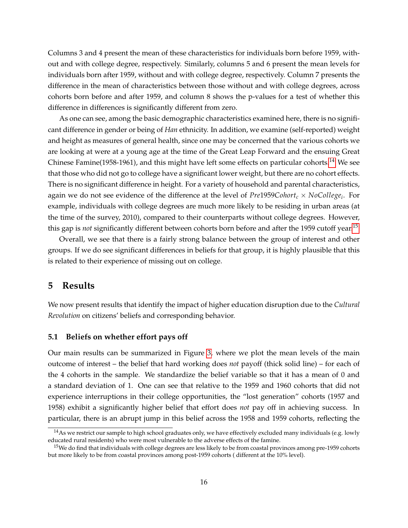Columns 3 and 4 present the mean of these characteristics for individuals born before 1959, without and with college degree, respectively. Similarly, columns 5 and 6 present the mean levels for individuals born after 1959, without and with college degree, respectively. Column 7 presents the difference in the mean of characteristics between those without and with college degrees, across cohorts born before and after 1959, and column 8 shows the p-values for a test of whether this difference in differences is significantly different from zero.

As one can see, among the basic demographic characteristics examined here, there is no significant difference in gender or being of *Han* ethnicity. In addition, we examine (self-reported) weight and height as measures of general health, since one may be concerned that the various cohorts we are looking at were at a young age at the time of the Great Leap Forward and the ensuing Great Chinese Famine(1958-1961), and this might have left some effects on particular cohorts.<sup>[14](#page-16-1)</sup> We see that those who did not go to college have a significant lower weight, but there are no cohort effects. There is no significant difference in height. For a variety of household and parental characteristics, again we do not see evidence of the difference at the level of *Pre*1959*Cohort<sup>c</sup>* × *NoCollege<sup>i</sup>* . For example, individuals with college degrees are much more likely to be residing in urban areas (at the time of the survey, 2010), compared to their counterparts without college degrees. However, this gap is *not* significantly different between cohorts born before and after the 1959 cutoff year.[15](#page-16-2)

Overall, we see that there is a fairly strong balance between the group of interest and other groups. If we do see significant differences in beliefs for that group, it is highly plausible that this is related to their experience of missing out on college.

### <span id="page-16-0"></span>**5 Results**

We now present results that identify the impact of higher education disruption due to the *Cultural Revolution* on citizens' beliefs and corresponding behavior.

#### **5.1 Beliefs on whether effort pays off**

Our main results can be summarized in Figure [3,](#page-28-0) where we plot the mean levels of the main outcome of interest – the belief that hard working does *not* payoff (thick solid line) – for each of the 4 cohorts in the sample. We standardize the belief variable so that it has a mean of 0 and a standard deviation of 1. One can see that relative to the 1959 and 1960 cohorts that did not experience interruptions in their college opportunities, the "lost generation" cohorts (1957 and 1958) exhibit a significantly higher belief that effort does *not* pay off in achieving success. In particular, there is an abrupt jump in this belief across the 1958 and 1959 cohorts, reflecting the

<span id="page-16-1"></span><sup>&</sup>lt;sup>14</sup>As we restrict our sample to high school graduates only, we have effectively excluded many individuals (e.g. lowly educated rural residents) who were most vulnerable to the adverse effects of the famine.

<span id="page-16-2"></span><sup>&</sup>lt;sup>15</sup>We do find that individuals with college degrees are less likely to be from coastal provinces among pre-1959 cohorts but more likely to be from coastal provinces among post-1959 cohorts ( different at the 10% level).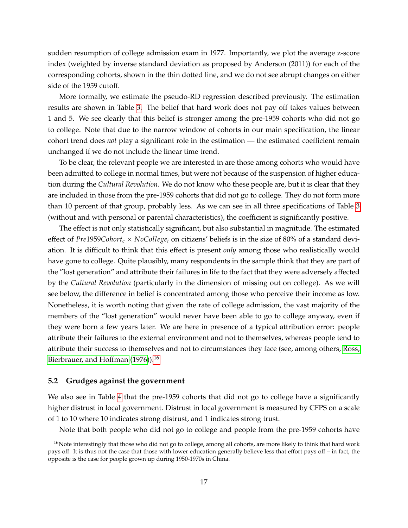sudden resumption of college admission exam in 1977. Importantly, we plot the average z-score index (weighted by inverse standard deviation as proposed by Anderson (2011)) for each of the corresponding cohorts, shown in the thin dotted line, and we do not see abrupt changes on either side of the 1959 cutoff.

More formally, we estimate the pseudo-RD regression described previously. The estimation results are shown in Table [3.](#page-33-0) The belief that hard work does not pay off takes values between 1 and 5. We see clearly that this belief is stronger among the pre-1959 cohorts who did not go to college. Note that due to the narrow window of cohorts in our main specification, the linear cohort trend does *not* play a significant role in the estimation — the estimated coefficient remain unchanged if we do not include the linear time trend.

To be clear, the relevant people we are interested in are those among cohorts who would have been admitted to college in normal times, but were not because of the suspension of higher education during the *Cultural Revolution*. We do not know who these people are, but it is clear that they are included in those from the pre-1959 cohorts that did not go to college. They do not form more than 10 percent of that group, probably less. As we can see in all three specifications of Table [3](#page-33-0) (without and with personal or parental characteristics), the coefficient is significantly positive.

The effect is not only statistically significant, but also substantial in magnitude. The estimated effect of *Pre*1959*Cohort*<sub>c</sub>  $\times$  *NoCollege*<sub>*i*</sub> on citizens' beliefs is in the size of 80% of a standard deviation. It is difficult to think that this effect is present *only* among those who realistically would have gone to college. Quite plausibly, many respondents in the sample think that they are part of the "lost generation" and attribute their failures in life to the fact that they were adversely affected by the *Cultural Revolution* (particularly in the dimension of missing out on college). As we will see below, the difference in belief is concentrated among those who perceive their income as low. Nonetheless, it is worth noting that given the rate of college admission, the vast majority of the members of the "lost generation" would never have been able to go to college anyway, even if they were born a few years later. We are here in presence of a typical attribution error: people attribute their failures to the external environment and not to themselves, whereas people tend to attribute their success to themselves and not to circumstances they face (see, among others, [Ross,](#page-25-0) [Bierbrauer, and Hoffman](#page-25-0) [\(1976\)](#page-25-0)).<sup>[16](#page-17-0)</sup>

#### **5.2 Grudges against the government**

We also see in Table [4](#page-34-0) that the pre-1959 cohorts that did not go to college have a significantly higher distrust in local government. Distrust in local government is measured by CFPS on a scale of 1 to 10 where 10 indicates strong distrust, and 1 indicates strong trust.

Note that both people who did not go to college and people from the pre-1959 cohorts have

<span id="page-17-0"></span> $16$ Note interestingly that those who did not go to college, among all cohorts, are more likely to think that hard work pays off. It is thus not the case that those with lower education generally believe less that effort pays off – in fact, the opposite is the case for people grown up during 1950-1970s in China.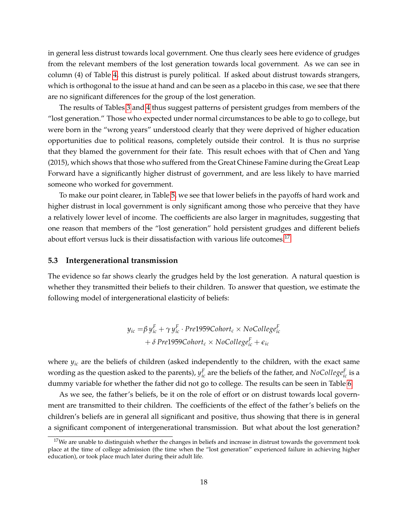in general less distrust towards local government. One thus clearly sees here evidence of grudges from the relevant members of the lost generation towards local government. As we can see in column (4) of Table [4,](#page-34-0) this distrust is purely political. If asked about distrust towards strangers, which is orthogonal to the issue at hand and can be seen as a placebo in this case, we see that there are no significant differences for the group of the lost generation.

The results of Tables [3](#page-33-0) and [4](#page-34-0) thus suggest patterns of persistent grudges from members of the "lost generation." Those who expected under normal circumstances to be able to go to college, but were born in the "wrong years" understood clearly that they were deprived of higher education opportunities due to political reasons, completely outside their control. It is thus no surprise that they blamed the government for their fate. This result echoes with that of Chen and Yang (2015), which shows that those who suffered from the Great Chinese Famine during the Great Leap Forward have a significantly higher distrust of government, and are less likely to have married someone who worked for government.

To make our point clearer, in Table [5,](#page-35-0) we see that lower beliefs in the payoffs of hard work and higher distrust in local government is only significant among those who perceive that they have a relatively lower level of income. The coefficients are also larger in magnitudes, suggesting that one reason that members of the "lost generation" hold persistent grudges and different beliefs about effort versus luck is their dissatisfaction with various life outcomes.<sup>[17](#page-18-0)</sup>

#### **5.3 Intergenerational transmission**

The evidence so far shows clearly the grudges held by the lost generation. A natural question is whether they transmitted their beliefs to their children. To answer that question, we estimate the following model of intergenerational elasticity of beliefs:

$$
y_{ic} = \beta y_{ic}^{F} + \gamma y_{ic}^{F} \cdot Pre1959Cohort_c \times NoCollege_{ic}^{F}
$$

$$
+ \delta Pre1959Cohort_c \times NoCollege_{ic}^{F} + \epsilon_{ic}
$$

where *yic* are the beliefs of children (asked independently to the children, with the exact same wording as the question asked to the parents),  $y_{ic}^F$  are the beliefs of the father, and  $NoCollect_{ic}^F$  is a dummy variable for whether the father did not go to college. The results can be seen in Table [6.](#page-36-0)

As we see, the father's beliefs, be it on the role of effort or on distrust towards local government are transmitted to their children. The coefficients of the effect of the father's beliefs on the children's beliefs are in general all significant and positive, thus showing that there is in general a significant component of intergenerational transmission. But what about the lost generation?

<span id="page-18-0"></span> $17$ We are unable to distinguish whether the changes in beliefs and increase in distrust towards the government took place at the time of college admission (the time when the "lost generation" experienced failure in achieving higher education), or took place much later during their adult life.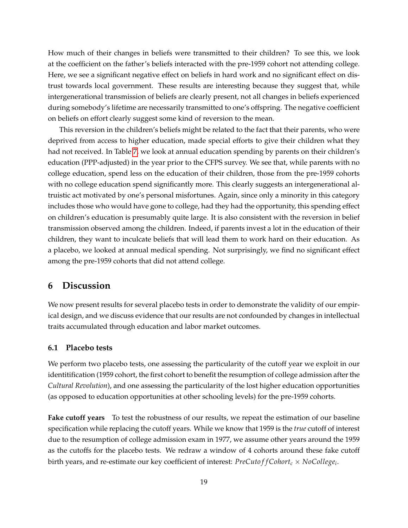How much of their changes in beliefs were transmitted to their children? To see this, we look at the coefficient on the father's beliefs interacted with the pre-1959 cohort not attending college. Here, we see a significant negative effect on beliefs in hard work and no significant effect on distrust towards local government. These results are interesting because they suggest that, while intergenerational transmission of beliefs are clearly present, not all changes in beliefs experienced during somebody's lifetime are necessarily transmitted to one's offspring. The negative coefficient on beliefs on effort clearly suggest some kind of reversion to the mean.

This reversion in the children's beliefs might be related to the fact that their parents, who were deprived from access to higher education, made special efforts to give their children what they had not received. In Table [7,](#page-37-0) we look at annual education spending by parents on their children's education (PPP-adjusted) in the year prior to the CFPS survey. We see that, while parents with no college education, spend less on the education of their children, those from the pre-1959 cohorts with no college education spend significantly more. This clearly suggests an intergenerational altruistic act motivated by one's personal misfortunes. Again, since only a minority in this category includes those who would have gone to college, had they had the opportunity, this spending effect on children's education is presumably quite large. It is also consistent with the reversion in belief transmission observed among the children. Indeed, if parents invest a lot in the education of their children, they want to inculcate beliefs that will lead them to work hard on their education. As a placebo, we looked at annual medical spending. Not surprisingly, we find no significant effect among the pre-1959 cohorts that did not attend college.

## <span id="page-19-0"></span>**6 Discussion**

We now present results for several placebo tests in order to demonstrate the validity of our empirical design, and we discuss evidence that our results are not confounded by changes in intellectual traits accumulated through education and labor market outcomes.

#### **6.1 Placebo tests**

We perform two placebo tests, one assessing the particularity of the cutoff year we exploit in our identitification (1959 cohort, the first cohort to benefit the resumption of college admission after the *Cultural Revolution*), and one assessing the particularity of the lost higher education opportunities (as opposed to education opportunities at other schooling levels) for the pre-1959 cohorts.

**Fake cutoff years** To test the robustness of our results, we repeat the estimation of our baseline specification while replacing the cutoff years. While we know that 1959 is the *true* cutoff of interest due to the resumption of college admission exam in 1977, we assume other years around the 1959 as the cutoffs for the placebo tests. We redraw a window of 4 cohorts around these fake cutoff birth years, and re-estimate our key coefficient of interest: *PreCuto f f Cohort<sup>c</sup>* × *NoCollege<sup>i</sup>* .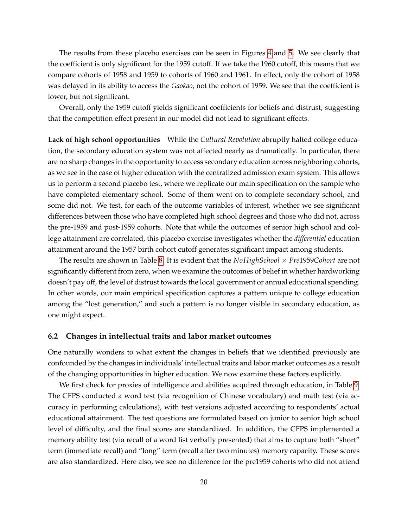The results from these placebo exercises can be seen in Figures [4](#page-29-0) and [5.](#page-30-0) We see clearly that the coefficient is only significant for the 1959 cutoff. If we take the 1960 cutoff, this means that we compare cohorts of 1958 and 1959 to cohorts of 1960 and 1961. In effect, only the cohort of 1958 was delayed in its ability to access the *Gaokao*, not the cohort of 1959. We see that the coefficient is lower, but not significant.

Overall, only the 1959 cutoff yields significant coefficients for beliefs and distrust, suggesting that the competition effect present in our model did not lead to significant effects.

**Lack of high school opportunities** While the *Cultural Revolution* abruptly halted college education, the secondary education system was not affected nearly as dramatically. In particular, there are no sharp changes in the opportunity to access secondary education across neighboring cohorts, as we see in the case of higher education with the centralized admission exam system. This allows us to perform a second placebo test, where we replicate our main specification on the sample who have completed elementary school. Some of them went on to complete secondary school, and some did not. We test, for each of the outcome variables of interest, whether we see significant differences between those who have completed high school degrees and those who did not, across the pre-1959 and post-1959 cohorts. Note that while the outcomes of senior high school and college attainment are correlated, this placebo exercise investigates whether the *differential* education attainment around the 1957 birth cohort cutoff generates significant impact among students.

The results are shown in Table [8.](#page-38-0) It is evident that the *NoHighSchool* × *Pre*1959*Cohort* are not significantly different from zero, when we examine the outcomes of belief in whether hardworking doesn't pay off, the level of distrust towards the local government or annual educational spending. In other words, our main empirical specification captures a pattern unique to college education among the "lost generation," and such a pattern is no longer visible in secondary education, as one might expect.

#### **6.2 Changes in intellectual traits and labor market outcomes**

One naturally wonders to what extent the changes in beliefs that we identified previously are confounded by the changes in individuals' intellectual traits and labor market outcomes as a result of the changing opportunities in higher education. We now examine these factors explicitly.

We first check for proxies of intelligence and abilities acquired through education, in Table [9.](#page-39-0) The CFPS conducted a word test (via recognition of Chinese vocabulary) and math test (via accuracy in performing calculations), with test versions adjusted according to respondents' actual educational attainment. The test questions are formulated based on junior to senior high school level of difficulty, and the final scores are standardized. In addition, the CFPS implemented a memory ability test (via recall of a word list verbally presented) that aims to capture both "short" term (immediate recall) and "long" term (recall after two minutes) memory capacity. These scores are also standardized. Here also, we see no difference for the pre1959 cohorts who did not attend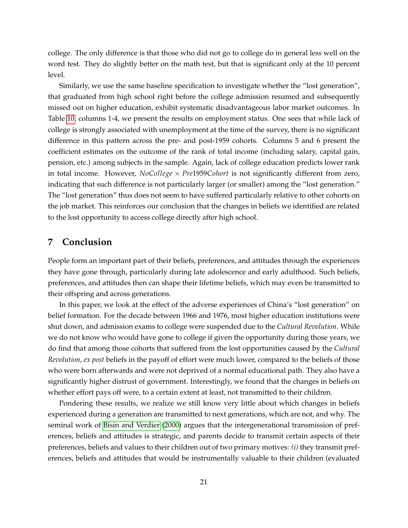college. The only difference is that those who did not go to college do in general less well on the word test. They do slightly better on the math test, but that is significant only at the 10 percent level.

Similarly, we use the same baseline specification to investigate whether the "lost generation", that graduated from high school right before the college admission resumed and subsequently missed out on higher education, exhibit systematic disadvantageous labor market outcomes. In Table [10,](#page-40-0) columns 1-4, we present the results on employment status. One sees that while lack of college is strongly associated with unemployment at the time of the survey, there is no significant difference in this pattern across the pre- and post-1959 cohorts. Columns 5 and 6 present the coefficient estimates on the outcome of the rank of total income (including salary, capital gain, pension, etc.) among subjects in the sample. Again, lack of college education predicts lower rank in total income. However, *NoCollege* × *Pre*1959*Cohort* is not significantly different from zero, indicating that such difference is not particularly larger (or smaller) among the "lost generation." The "lost generation" thus does not seem to have suffered particularly relative to other cohorts on the job market. This reinforces our conclusion that the changes in beliefs we identified are related to the lost opportunity to access college directly after high school.

## <span id="page-21-0"></span>**7 Conclusion**

People form an important part of their beliefs, preferences, and attitudes through the experiences they have gone through, particularly during late adolescence and early adulthood. Such beliefs, preferences, and attitudes then can shape their lifetime beliefs, which may even be transmitted to their offspring and across generations.

In this paper, we look at the effect of the adverse experiences of China's "lost generation" on belief formation. For the decade between 1966 and 1976, most higher education institutions were shut down, and admission exams to college were suspended due to the *Cultural Revolution*. While we do not know who would have gone to college if given the opportunity during those years, we do find that among those cohorts that suffered from the lost opportunities caused by the *Cultural Revolution*, *ex post* beliefs in the payoff of effort were much lower, compared to the beliefs of those who were born afterwards and were not deprived of a normal educational path. They also have a significantly higher distrust of government. Interestingly, we found that the changes in beliefs on whether effort pays off were, to a certain extent at least, not transmitted to their children.

Pondering these results, we realize we still know very little about which changes in beliefs experienced during a generation are transmitted to next generations, which are not, and why. The seminal work of [Bisin and Verdier](#page-23-14) [\(2000\)](#page-23-14) argues that the intergenerational transmission of preferences, beliefs and attitudes is strategic, and parents decide to transmit certain aspects of their preferences, beliefs and values to their children out of two primary motives: *(i)* they transmit preferences, beliefs and attitudes that would be instrumentally valuable to their children (evaluated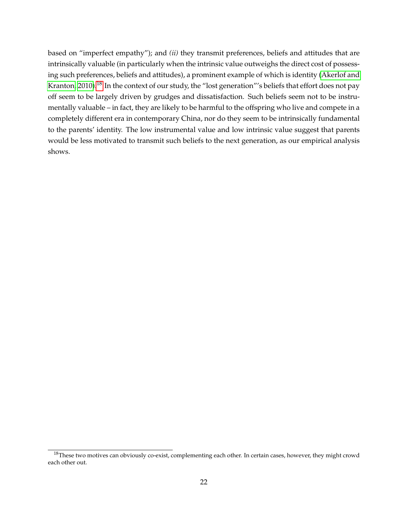based on "imperfect empathy"); and *(ii)* they transmit preferences, beliefs and attitudes that are intrinsically valuable (in particularly when the intrinsic value outweighs the direct cost of possessing such preferences, beliefs and attitudes), a prominent example of which is identity [\(Akerlof and](#page-23-15) [Kranton, 2010\)](#page-23-15).<sup>[18](#page-22-0)</sup> In the context of our study, the "lost generation"'s beliefs that effort does not pay off seem to be largely driven by grudges and dissatisfaction. Such beliefs seem not to be instrumentally valuable – in fact, they are likely to be harmful to the offspring who live and compete in a completely different era in contemporary China, nor do they seem to be intrinsically fundamental to the parents' identity. The low instrumental value and low intrinsic value suggest that parents would be less motivated to transmit such beliefs to the next generation, as our empirical analysis shows.

<span id="page-22-0"></span> $^{18}$  These two motives can obviously co-exist, complementing each other. In certain cases, however, they might crowd each other out.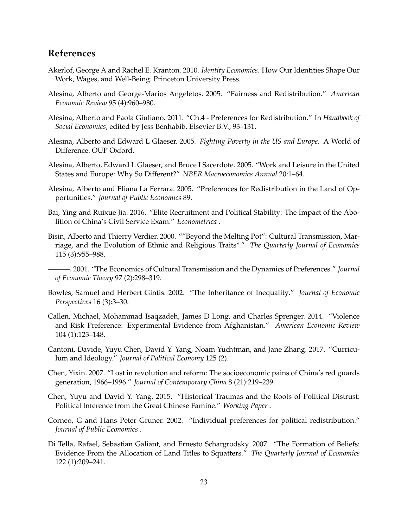### **References**

- <span id="page-23-15"></span>Akerlof, George A and Rachel E. Kranton. 2010. *Identity Economics*. How Our Identities Shape Our Work, Wages, and Well-Being. Princeton University Press.
- <span id="page-23-1"></span>Alesina, Alberto and George-Marios Angeletos. 2005. "Fairness and Redistribution." *American Economic Review* 95 (4):960–980.
- <span id="page-23-6"></span>Alesina, Alberto and Paola Giuliano. 2011. "Ch.4 - Preferences for Redistribution." In *Handbook of Social Economics*, edited by Jess Benhabib. Elsevier B.V., 93–131.
- <span id="page-23-4"></span>Alesina, Alberto and Edward L Glaeser. 2005. *Fighting Poverty in the US and Europe*. A World of Difference. OUP Oxford.
- <span id="page-23-0"></span>Alesina, Alberto, Edward L Glaeser, and Bruce I Sacerdote. 2005. "Work and Leisure in the United States and Europe: Why So Different?" *NBER Macroeconomics Annual* 20:1–64.
- <span id="page-23-5"></span>Alesina, Alberto and Eliana La Ferrara. 2005. "Preferences for Redistribution in the Land of Opportunities." *Journal of Public Economics* 89.
- <span id="page-23-13"></span>Bai, Ying and Ruixue Jia. 2016. "Elite Recruitment and Political Stability: The Impact of the Abolition of China's Civil Service Exam." *Econometrica* .
- <span id="page-23-14"></span>Bisin, Alberto and Thierry Verdier. 2000. ""Beyond the Melting Pot": Cultural Transmission, Marriage, and the Evolution of Ethnic and Religious Traits\*." *The Quarterly Journal of Economics* 115 (3):955–988.
- <span id="page-23-7"></span>———. 2001. "The Economics of Cultural Transmission and the Dynamics of Preferences." *Journal of Economic Theory* 97 (2):298–319.
- <span id="page-23-2"></span>Bowles, Samuel and Herbert Gintis. 2002. "The Inheritance of Inequality." *Journal of Economic Perspectives* 16 (3):3–30.
- <span id="page-23-10"></span>Callen, Michael, Mohammad Isaqzadeh, James D Long, and Charles Sprenger. 2014. "Violence and Risk Preference: Experimental Evidence from Afghanistan." *American Economic Review* 104 (1):123–148.
- <span id="page-23-12"></span>Cantoni, Davide, Yuyu Chen, David Y. Yang, Noam Yuchtman, and Jane Zhang. 2017. "Curriculum and Ideology." *Journal of Political Economy* 125 (2).
- <span id="page-23-8"></span>Chen, Yixin. 2007. "Lost in revolution and reform: The socioeconomic pains of China's red guards generation, 1966–1996." *Journal of Contemporary China* 8 (21):219–239.
- <span id="page-23-11"></span>Chen, Yuyu and David Y. Yang. 2015. "Historical Traumas and the Roots of Political Distrust: Political Inference from the Great Chinese Famine." *Working Paper* .
- <span id="page-23-3"></span>Corneo, G and Hans Peter Gruner. 2002. "Individual preferences for political redistribution." *Journal of Public Economics* .
- <span id="page-23-9"></span>Di Tella, Rafael, Sebastian Galiant, and Ernesto Schargrodsky. 2007. "The Formation of Beliefs: Evidence From the Allocation of Land Titles to Squatters." *The Quarterly Journal of Economics* 122 (1):209–241.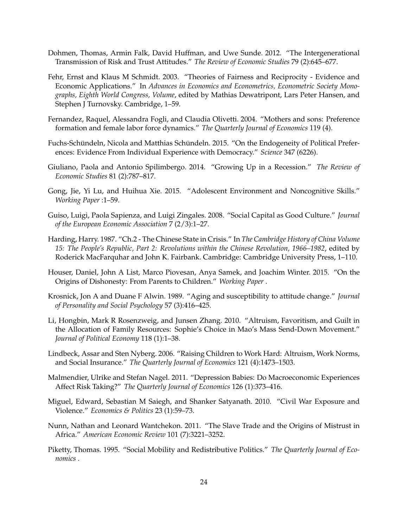- <span id="page-24-10"></span>Dohmen, Thomas, Armin Falk, David Huffman, and Uwe Sunde. 2012. "The Intergenerational Transmission of Risk and Trust Attitudes." *The Review of Economic Studies* 79 (2):645–677.
- <span id="page-24-15"></span>Fehr, Ernst and Klaus M Schmidt. 2003. "Theories of Fairness and Reciprocity - Evidence and Economic Applications." In *Advances in Economics and Econometrics, Econometric Society Monographs, Eighth World Congress, Volume*, edited by Mathias Dewatripont, Lars Peter Hansen, and Stephen J Turnovsky. Cambridge, 1–59.
- <span id="page-24-11"></span>Fernandez, Raquel, Alessandra Fogli, and Claudia Olivetti. 2004. "Mothers and sons: Preference formation and female labor force dynamics." *The Quarterly Journal of Economics* 119 (4).
- <span id="page-24-3"></span>Fuchs-Schündeln, Nicola and Matthias Schündeln. 2015. "On the Endogeneity of Political Preferences: Evidence From Individual Experience with Democracy." *Science* 347 (6226).
- <span id="page-24-2"></span>Giuliano, Paola and Antonio Spilimbergo. 2014. "Growing Up in a Recession." *The Review of Economic Studies* 81 (2):787–817.
- <span id="page-24-9"></span>Gong, Jie, Yi Lu, and Huihua Xie. 2015. "Adolescent Environment and Noncognitive Skills." *Working Paper* :1–59.
- <span id="page-24-5"></span>Guiso, Luigi, Paola Sapienza, and Luigi Zingales. 2008. "Social Capital as Good Culture." *Journal of the European Economic Association* 7 (2/3):1–27.
- <span id="page-24-14"></span>Harding, Harry. 1987. "Ch.2 - The Chinese State in Crisis." In *The Cambridge History of China Volume 15: The People's Republic, Part 2: Revolutions within the Chinese Revolution, 1966–1982*, edited by Roderick MacFarquhar and John K. Fairbank. Cambridge: Cambridge University Press, 1–110.
- <span id="page-24-12"></span>Houser, Daniel, John A List, Marco Piovesan, Anya Samek, and Joachim Winter. 2015. "On the Origins of Dishonesty: From Parents to Children." *Working Paper* .
- <span id="page-24-8"></span>Krosnick, Jon A and Duane F Alwin. 1989. "Aging and susceptibility to attitude change." *Journal of Personality and Social Psychology* 57 (3):416–425.
- <span id="page-24-13"></span>Li, Hongbin, Mark R Rosenzweig, and Junsen Zhang. 2010. "Altruism, Favoritism, and Guilt in the Allocation of Family Resources: Sophie's Choice in Mao's Mass Send-Down Movement." *Journal of Political Economy* 118 (1):1–38.
- <span id="page-24-7"></span>Lindbeck, Assar and Sten Nyberg. 2006. "Raising Children to Work Hard: Altruism, Work Norms, and Social Insurance." *The Quarterly Journal of Economics* 121 (4):1473–1503.
- <span id="page-24-1"></span>Malmendier, Ulrike and Stefan Nagel. 2011. "Depression Babies: Do Macroeconomic Experiences Affect Risk Taking?" *The Quarterly Journal of Economics* 126 (1):373–416.
- <span id="page-24-4"></span>Miguel, Edward, Sebastian M Saiegh, and Shanker Satyanath. 2010. "Civil War Exposure and Violence." *Economics & Politics* 23 (1):59–73.
- <span id="page-24-6"></span>Nunn, Nathan and Leonard Wantchekon. 2011. "The Slave Trade and the Origins of Mistrust in Africa." *American Economic Review* 101 (7):3221–3252.
- <span id="page-24-0"></span>Piketty, Thomas. 1995. "Social Mobility and Redistributive Politics." *The Quarterly Journal of Economics* .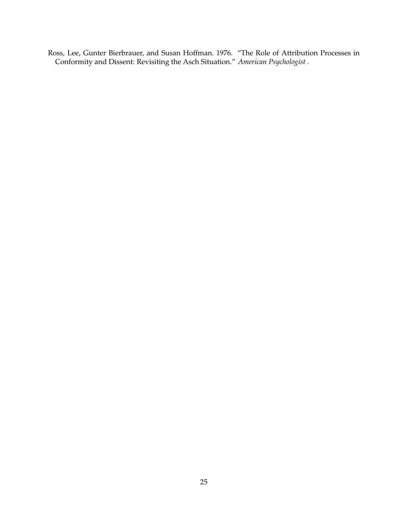<span id="page-25-0"></span>Ross, Lee, Gunter Bierbrauer, and Susan Hoffman. 1976. "The Role of Attribution Processes in Conformity and Dissent: Revisiting the Asch Situation." *American Psychologist* .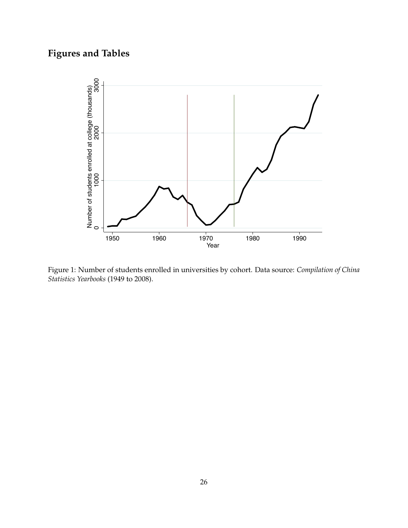# **Figures and Tables**



<span id="page-26-0"></span>Figure 1: Number of students enrolled in universities by cohort. Data source: *Compilation of China Statistics Yearbooks* (1949 to 2008).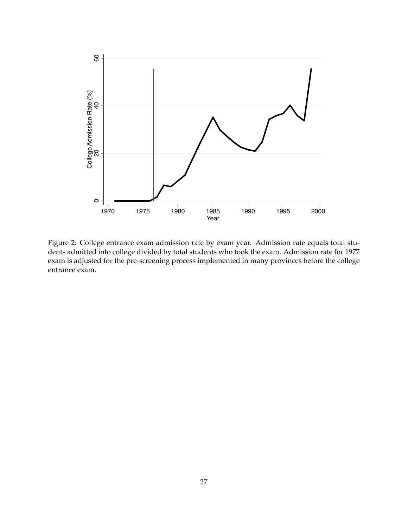

<span id="page-27-0"></span>Figure 2: College entrance exam admission rate by exam year. Admission rate equals total students admitted into college divided by total students who took the exam. Admission rate for 1977 exam is adjusted for the pre-screening process implemented in many provinces before the college entrance exam.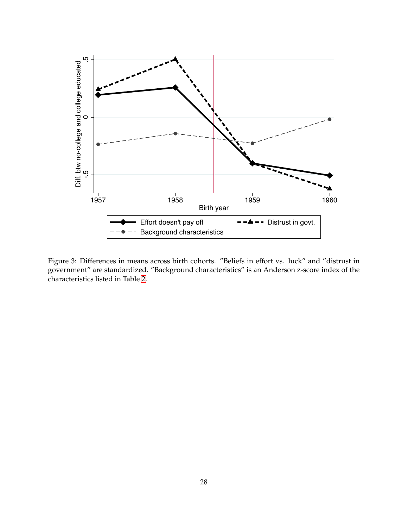

<span id="page-28-0"></span>Figure 3: Differences in means across birth cohorts. "Beliefs in effort vs. luck" and "distrust in government" are standardized. "Background characteristics" is an Anderson z-score index of the characteristics listed in Table [2.](#page-32-0)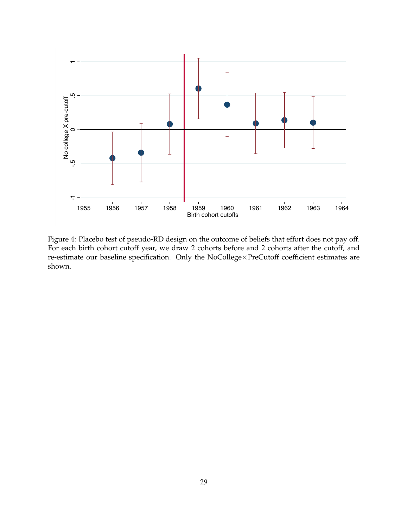

<span id="page-29-0"></span>Figure 4: Placebo test of pseudo-RD design on the outcome of beliefs that effort does not pay off. For each birth cohort cutoff year, we draw 2 cohorts before and 2 cohorts after the cutoff, and re-estimate our baseline specification. Only the NoCollege×PreCutoff coefficient estimates are shown.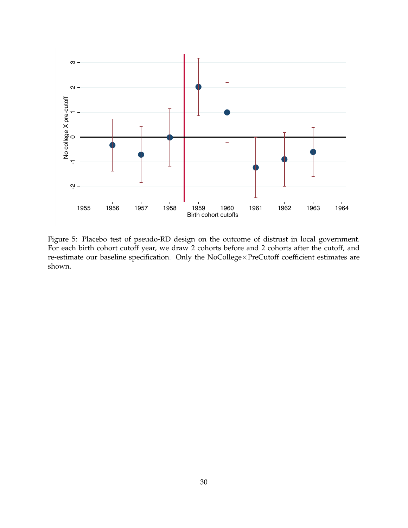

<span id="page-30-0"></span>Figure 5: Placebo test of pseudo-RD design on the outcome of distrust in local government. For each birth cohort cutoff year, we draw 2 cohorts before and 2 cohorts after the cutoff, and re-estimate our baseline specification. Only the NoCollege×PreCutoff coefficient estimates are shown.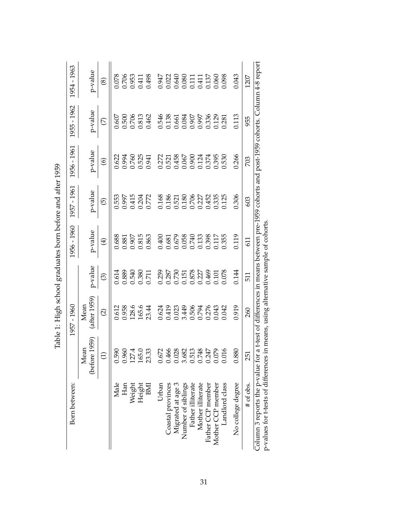<span id="page-31-0"></span>

| Bom between:                                                                                                                                                                                                             |                           | 1957 - 1960         |         | $1966 - 1960$ | 1957 - 1961        | 1956 - 1961    | 1955 - 1962 | 1954 - 1963                                            |
|--------------------------------------------------------------------------------------------------------------------------------------------------------------------------------------------------------------------------|---------------------------|---------------------|---------|---------------|--------------------|----------------|-------------|--------------------------------------------------------|
|                                                                                                                                                                                                                          | e 1959)<br>Mean<br>(befor | after 1959)<br>Mean | p-value | p-value       | p-value            | p-value        | p-value     | p-value                                                |
|                                                                                                                                                                                                                          |                           | $\widehat{\infty}$  | ල       | $\bigoplus$   | $\widehat{\Theta}$ | $\circledcirc$ | E           | $\circledS$                                            |
| $\rm _{Male}$                                                                                                                                                                                                            | 0.590                     | 0.612               | 0.614   | 0.688         | 0.553              | 0.622          | 0.607       | 0.078                                                  |
| $\operatorname{Ham}$                                                                                                                                                                                                     |                           | 0.958               | 0.889   | 0.881         | 0.997              | 1.994          | 0.500       | 0.706                                                  |
| Weight                                                                                                                                                                                                                   | 0.960<br>127.4            | 128.6               | 0.540   | 0.907         | 0.415              | 0.760<br>0.525 | 0.706       | 0.953                                                  |
| Height                                                                                                                                                                                                                   | 50                        | 165.6               | 0.380   | 0.815         | 0.204              |                | 0.813       | 0.411                                                  |
| BMI                                                                                                                                                                                                                      | 23.33                     | 23.44               | 0.711   | 0.863         | 0.772              | 0.941          | 0.462       | 0.498                                                  |
| Urban                                                                                                                                                                                                                    | 0.672                     | 0.624               | 0.259   | 0.400         | 0.168              | 0.272          | 0.546       | 1947                                                   |
| Coastal provinces                                                                                                                                                                                                        | 0.466                     | 0.419               | 0.287   | 0.681         | 0.186              | 0.521          | 0.138       |                                                        |
| Migrated at age 3                                                                                                                                                                                                        | 0.028                     | 0.023               | 0.730   | 0.679         | 0.521              | 0.458          | 0.661       |                                                        |
| Number of siblings                                                                                                                                                                                                       | 3.682                     | 3.449               | 0.151   | 0.058         | 0.180              | 0.067          | 0.084       | 0.022<br>0.640<br>0.080<br>0.0.111<br>0.0.000<br>0.000 |
| Father illiterate                                                                                                                                                                                                        |                           | 0.506               | 0.878   | 0.740         | 0.706              | 0.900          | 0.907       |                                                        |
| Mother illiterate                                                                                                                                                                                                        | 0.513<br>0.748            | 0.794               | 0.227   | 0.133         | 0.227              | 0.124          | 0.997       |                                                        |
| Father CCP member                                                                                                                                                                                                        | 0.247                     | 0.276<br>0.043      | 0.469   | 0.398         | 0.452              | 0.374          | 0.336       |                                                        |
| Mother CCP member                                                                                                                                                                                                        | 0.079                     |                     | 0.101   | 0.117         | 0.335              | 0.395          | 0.129       |                                                        |
| Landlord class                                                                                                                                                                                                           | 0.016                     | 0.042               | 0.078   | 0.355         | 0.125              | 0.530          | 0.281       |                                                        |
| No college degree                                                                                                                                                                                                        | 0.880                     | 0.919               | 0.144   | 0.119         | 0.306              | 0.266          | 0.113       | 0.043                                                  |
| # of obs.                                                                                                                                                                                                                | 251                       | 260                 | 511     | 61            | 603                | 703            | 955         | 1207                                                   |
| Column 3 reports the p-value for a t-test of differences in means between pre-1959 cohorts and post-1959 cohorts. Column 4-8 report<br>p-values for t-tests of differences in means, using alternative sample of cohorts |                           |                     |         |               |                    |                |             |                                                        |

Table 1: High school graduates born before and after 1959 Table 1: High school graduates born before and after 1959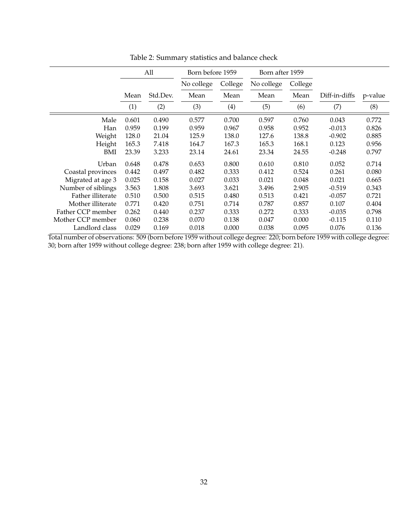|                    |       | All      | Born before 1959 |         | Born after 1959 |         |               |         |
|--------------------|-------|----------|------------------|---------|-----------------|---------|---------------|---------|
|                    |       |          | No college       | College | No college      | College |               |         |
|                    | Mean  | Std.Dev. | Mean             | Mean    | Mean            | Mean    | Diff-in-diffs | p-value |
|                    | (1)   | (2)      | (3)              | (4)     | (5)             | (6)     | (7)           | (8)     |
| Male               | 0.601 | 0.490    | 0.577            | 0.700   | 0.597           | 0.760   | 0.043         | 0.772   |
| Han                | 0.959 | 0.199    | 0.959            | 0.967   | 0.958           | 0.952   | $-0.013$      | 0.826   |
| Weight             | 128.0 | 21.04    | 125.9            | 138.0   | 127.6           | 138.8   | $-0.902$      | 0.885   |
| Height             | 165.3 | 7.418    | 164.7            | 167.3   | 165.3           | 168.1   | 0.123         | 0.956   |
| BMI                | 23.39 | 3.233    | 23.14            | 24.61   | 23.34           | 24.55   | $-0.248$      | 0.797   |
| Urban              | 0.648 | 0.478    | 0.653            | 0.800   | 0.610           | 0.810   | 0.052         | 0.714   |
| Coastal provinces  | 0.442 | 0.497    | 0.482            | 0.333   | 0.412           | 0.524   | 0.261         | 0.080   |
| Migrated at age 3  | 0.025 | 0.158    | 0.027            | 0.033   | 0.021           | 0.048   | 0.021         | 0.665   |
| Number of siblings | 3.563 | 1.808    | 3.693            | 3.621   | 3.496           | 2.905   | $-0.519$      | 0.343   |
| Father illiterate  | 0.510 | 0.500    | 0.515            | 0.480   | 0.513           | 0.421   | $-0.057$      | 0.721   |
| Mother illiterate  | 0.771 | 0.420    | 0.751            | 0.714   | 0.787           | 0.857   | 0.107         | 0.404   |
| Father CCP member  | 0.262 | 0.440    | 0.237            | 0.333   | 0.272           | 0.333   | $-0.035$      | 0.798   |
| Mother CCP member  | 0.060 | 0.238    | 0.070            | 0.138   | 0.047           | 0.000   | $-0.115$      | 0.110   |
| Landlord class     | 0.029 | 0.169    | 0.018            | 0.000   | 0.038           | 0.095   | 0.076         | 0.136   |

<span id="page-32-0"></span>Table 2: Summary statistics and balance check

Total number of observations: 509 (born before 1959 without college degree: 220; born before 1959 with college degree: 30; born after 1959 without college degree: 238; born after 1959 with college degree: 21).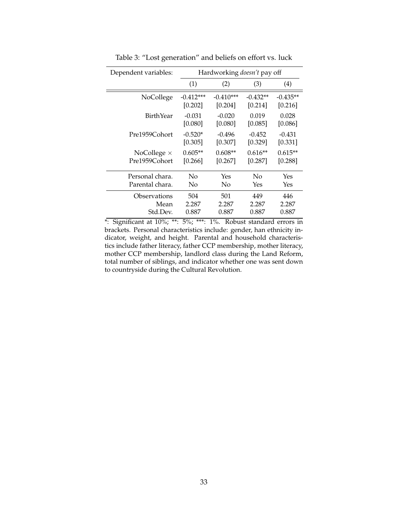| Dependent variables: |             | Hardworking doesn't pay off |            |            |
|----------------------|-------------|-----------------------------|------------|------------|
|                      | (1)         | (2)                         | (3)        | (4)        |
| NoCollege            | $-0.412***$ | $-0.410***$                 | $-0.432**$ | $-0.435**$ |
|                      | [0.202]     | [0.204]                     | [0.214]    | [0.216]    |
| BirthYear            | $-0.031$    | $-0.020$                    | 0.019      | 0.028      |
|                      | [0.080]     | [0.080]                     | [0.085]    | [0.086]    |
| Pre1959Cohort        | $-0.520*$   | $-0.496$                    | $-0.452$   | $-0.431$   |
|                      | [0.305]     | [0.307]                     | [0.329]    | [0.331]    |
| NoCollege $\times$   | $0.605**$   | $0.608**$                   | $0.616**$  | $0.615**$  |
| Pre1959Cohort        | [0.266]     | [0.267]                     | [0.287]    | [0.288]    |
| Personal chara.      | No          | Yes                         | No         | Yes        |
| Parental chara.      | No          | No                          | Yes        | Yes        |
| Observations         | 504         | 501                         | 449        | 446        |
| Mean                 | 2.287       | 2.287                       | 2.287      | 2.287      |
| Std.Dev.             | 0.887       | 0.887                       | 0.887      | 0.887      |

<span id="page-33-0"></span>Table 3: "Lost generation" and beliefs on effort vs. luck

\*: Significant at 10%; \*\*: 5%; \*\*\*: 1%. Robust standard errors in brackets. Personal characteristics include: gender, han ethnicity indicator, weight, and height. Parental and household characteristics include father literacy, father CCP membership, mother literacy, mother CCP membership, landlord class during the Land Reform, total number of siblings, and indicator whether one was sent down to countryside during the Cultural Revolution.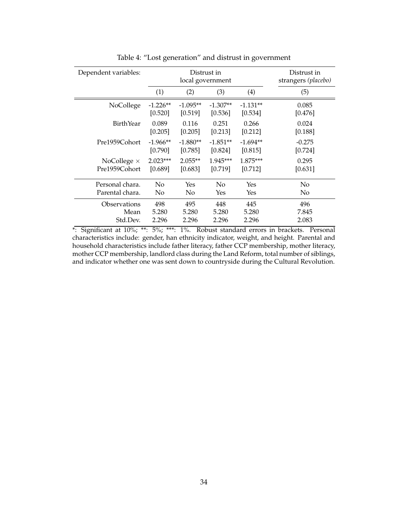| Dependent variables: |            |            | Distrust in<br>local government |            | Distrust in<br>strangers (placebo) |
|----------------------|------------|------------|---------------------------------|------------|------------------------------------|
|                      | (1)        | (2)        | (3)                             | (4)        | (5)                                |
| NoCollege            | $-1.226**$ | $-1.095**$ | $-1.307**$                      | $-1.131**$ | 0.085                              |
|                      | [0.520]    | [0.519]    | [0.536]                         | [0.534]    | [0.476]                            |
| <b>BirthYear</b>     | 0.089      | 0.116      | 0.251                           | 0.266      | 0.024                              |
|                      | [0.205]    | [0.205]    | [0.213]                         | [0.212]    | [0.188]                            |
| Pre1959Cohort        | $-1.966**$ | $-1.880**$ | $-1.851**$                      | $-1.694**$ | $-0.275$                           |
|                      | [0.790]    | [0.785]    | [0.824]                         | [0.815]    | [0.724]                            |
| NoCollege $\times$   | $2.023***$ | $2.055**$  | $1.945***$                      | 1.875***   | 0.295                              |
| Pre1959Cohort        | [0.689]    | [0.683]    | [0.719]                         | [0.712]    | [0.631]                            |
| Personal chara.      | No         | Yes        | No                              | Yes        | No                                 |
| Parental chara.      | No         | No.        | Yes                             | Yes        | No                                 |
| Observations         | 498        | 495        | 448                             | 445        | 496                                |
| Mean                 | 5.280      | 5.280      | 5.280                           | 5.280      | 7.845                              |
| Std.Dev.             | 2.296      | 2.296      | 2.296                           | 2.296      | 2.083                              |

<span id="page-34-0"></span>Table 4: "Lost generation" and distrust in government

\*: Significant at 10%; \*\*: 5%; \*\*\*: 1%. Robust standard errors in brackets. Personal characteristics include: gender, han ethnicity indicator, weight, and height. Parental and household characteristics include father literacy, father CCP membership, mother literacy, mother CCP membership, landlord class during the Land Reform, total number of siblings, and indicator whether one was sent down to countryside during the Cultural Revolution.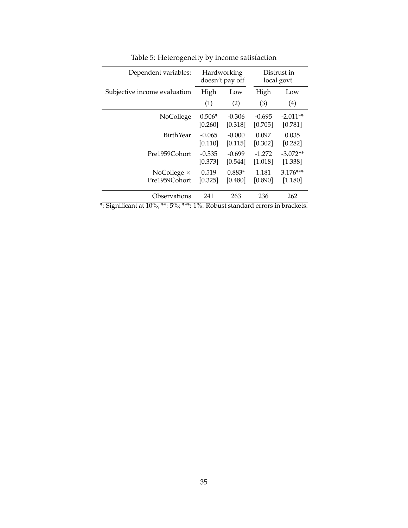| Dependent variables:         |          | Hardworking<br>doesn't pay off |          | Distrust in<br>local govt. |
|------------------------------|----------|--------------------------------|----------|----------------------------|
| Subjective income evaluation | High     | Low                            | High     | Low                        |
|                              | (1)      | (2)                            | (3)      | (4)                        |
| NoCollege                    | $0.506*$ | $-0.306$                       | $-0.695$ | $-2.011**$                 |
|                              | [0.260]  | [0.318]                        | [0.705]  | [0.781]                    |
| BirthYear                    | $-0.065$ | $-0.000$                       | 0.097    | 0.035                      |
|                              | [0.110]  | [0.115]                        | [0.302]  | [0.282]                    |
| Pre1959Cohort                | $-0.535$ | $-0.699$                       | $-1.272$ | $-3.072**$                 |
|                              | [0.373]  | [0.544]                        | [1.018]  | [1.338]                    |
| NoCollege $\times$           | 0.519    | $0.883*$                       | 1.181    | $3.176***$                 |
| Pre1959Cohort                | [0.325]  | [0.480]                        | [0.890]  | [1.180]                    |
| Observations                 | 241      | 263                            | 236      | 262                        |

<span id="page-35-0"></span>Table 5: Heterogeneity by income satisfaction

\*: Significant at 10%; \*\*: 5%; \*\*\*: 1%. Robust standard errors in brackets.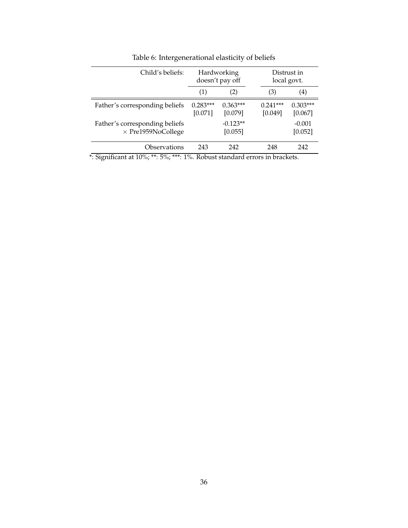| Child's beliefs:                                            | Hardworking           | doesn't pay off       |                       | Distrust in<br>local govt. |
|-------------------------------------------------------------|-----------------------|-----------------------|-----------------------|----------------------------|
|                                                             | (1)                   | (2)                   | (3)                   | $\left( 4\right)$          |
| Father's corresponding beliefs                              | $0.283***$<br>[0.071] | $0.363***$<br>[0.079] | $0.241***$<br>[0.049] | $0.303***$<br>[0.067]      |
| Father's corresponding beliefs<br>$\times$ Pre1959NoCollege |                       | $-0.123**$<br>[0.055] |                       | $-0.001$<br>[0.052]        |
| Observations                                                | 243                   | 242                   | 248                   | 242                        |

<span id="page-36-0"></span>Table 6: Intergenerational elasticity of beliefs

\*: Significant at 10%; \*\*: 5%; \*\*\*: 1%. Robust standard errors in brackets.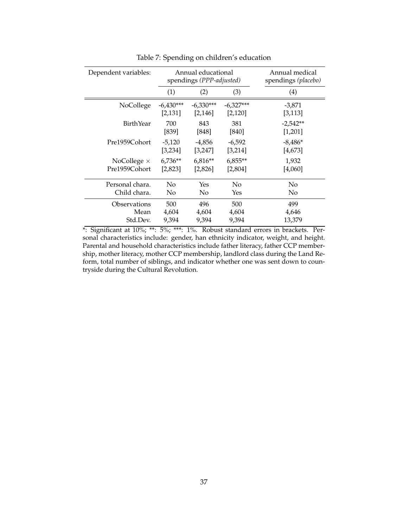| Dependent variables: |                    | Annual educational<br>spendings (PPP-adjusted) |                | Annual medical<br>spendings (placebo) |
|----------------------|--------------------|------------------------------------------------|----------------|---------------------------------------|
|                      | (1)                | (2)                                            | (3)            | (4)                                   |
| NoCollege            | $-6,430***$        | $-6,330***$                                    | $-6,327***$    | $-3,871$                              |
|                      | [2,131]            | [2, 146]                                       | [2,120]        | [3, 113]                              |
| <b>BirthYear</b>     | 700                | 843                                            | 381            | $-2,542**$                            |
|                      | [839]              | [848]                                          | [840]          | [1,201]                               |
| Pre1959Cohort        | $-5,120$           | -4,856                                         | $-6,592$       | $-8,486*$                             |
|                      | [3,234]            | [3,247]                                        | [3,214]        | [4,673]                               |
| NoCollege $\times$   | 6,736**            | $6,816**$                                      | $6,855**$      | 1,932                                 |
| Pre1959Cohort        | [2,823]            | [2,826]                                        | [2,804]        | [4,060]                               |
| Personal chara.      | $\overline{N}_{0}$ | Yes                                            | $\overline{N}$ | $\rm No$                              |
| Child chara.         | No                 | No                                             | Yes            | No                                    |
| Observations         | 500                | 496                                            | 500            | 499                                   |
| Mean                 | 4,604              | 4,604                                          | 4,604          | 4,646                                 |
| Std.Dev.             | 9,394              | 9,394                                          | 9,394          | 13,379                                |

<span id="page-37-0"></span>Table 7: Spending on children's education

\*: Significant at 10%; \*\*: 5%; \*\*\*: 1%. Robust standard errors in brackets. Personal characteristics include: gender, han ethnicity indicator, weight, and height. Parental and household characteristics include father literacy, father CCP membership, mother literacy, mother CCP membership, landlord class during the Land Reform, total number of siblings, and indicator whether one was sent down to countryside during the Cultural Revolution.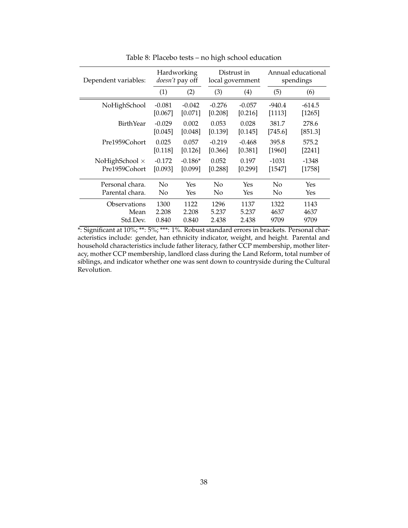| Dependent variables:  |          | Hardworking<br>doesn't pay off |          | Distrust in<br>local government |          | Annual educational<br>spendings |
|-----------------------|----------|--------------------------------|----------|---------------------------------|----------|---------------------------------|
|                       | (1)      | (2)                            | (3)      | $\left( 4\right)$               | (5)      | (6)                             |
| NoHighSchool          | $-0.081$ | $-0.042$                       | $-0.276$ | $-0.057$                        | $-940.4$ | $-614.5$                        |
|                       | [0.067]  | [0.071]                        | [0.208]  | [0.216]                         | [1113]   | [1265]                          |
| <b>BirthYear</b>      | $-0.029$ | 0.002                          | 0.053    | 0.028                           | 381.7    | 278.6                           |
|                       | [0.045]  | [0.048]                        | [0.139]  | [0.145]                         | [745.6]  | [851.3]                         |
| Pre1959Cohort         | 0.025    | 0.057                          | $-0.219$ | $-0.468$                        | 395.8    | 575.2                           |
|                       | [0.118]  | [0.126]                        | [0.366]  | [0.381]                         | [1960]   | $[2241]$                        |
| NoHighSchool $\times$ | $-0.172$ | $-0.186*$                      | 0.052    | 0.197                           | $-1031$  | -1348                           |
| Pre1959Cohort         | [0.093]  | [0.099]                        | [0.288]  | [0.299]                         | [1547]   | [1758]                          |
| Personal chara.       | No       | Yes                            | $\rm No$ | Yes                             | No       | Yes                             |
| Parental chara.       | No.      | Yes                            | No.      | Yes                             | No.      | Yes                             |
| Observations          | 1300     | 1122                           | 1296     | 1137                            | 1322     | 1143                            |
| Mean                  | 2.208    | 2.208                          | 5.237    | 5.237                           | 4637     | 4637                            |
| Std.Dev.              | 0.840    | 0.840                          | 2.438    | 2.438                           | 9709     | 9709                            |

<span id="page-38-0"></span>Table 8: Placebo tests – no high school education

\*: Significant at 10%; \*\*: 5%; \*\*\*: 1%. Robust standard errors in brackets. Personal characteristics include: gender, han ethnicity indicator, weight, and height. Parental and household characteristics include father literacy, father CCP membership, mother literacy, mother CCP membership, landlord class during the Land Reform, total number of siblings, and indicator whether one was sent down to countryside during the Cultural Revolution.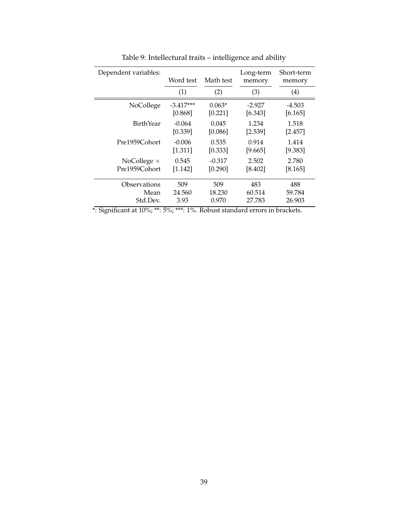| Dependent variables: | Word test   | Math test | Long-term<br>memory | Short-term<br>memory |
|----------------------|-------------|-----------|---------------------|----------------------|
|                      | (1)         | (2)       | (3)                 | (4)                  |
| NoCollege            | $-3.417***$ | $0.063*$  | $-2.927$            | $-4.503$             |
|                      | [0.868]     | [0.221]   | [6.343]             | [6.165]              |
| <b>BirthYear</b>     | $-0.064$    | 0.045     | 1.234               | 1.518                |
|                      | [0.339]     | [0.086]   | [2.539]             | [2.457]              |
| Pre1959Cohort        | $-0.006$    | 0.535     | 0.914               | 1.414                |
|                      | [1.311]     | [0.333]   | [9.665]             | [9.383]              |
| NoCollege $\times$   | 0.545       | $-0.317$  | 2.502               | 2.780                |
| Pre1959Cohort        | [1.142]     | [0.290]   | [8.402]             | [8.165]              |
| Observations         | 509         | 509       | 483                 | 488                  |
| Mean                 | 24.560      | 18.230    | 60.514              | 59.784               |
| Std.Dev.             | 3.93        | 0.970     | 27.783              | 26.903               |

<span id="page-39-0"></span>Table 9: Intellectural traits – intelligence and ability

\*: Significant at 10%; \*\*: 5%; \*\*\*: 1%. Robust standard errors in brackets.